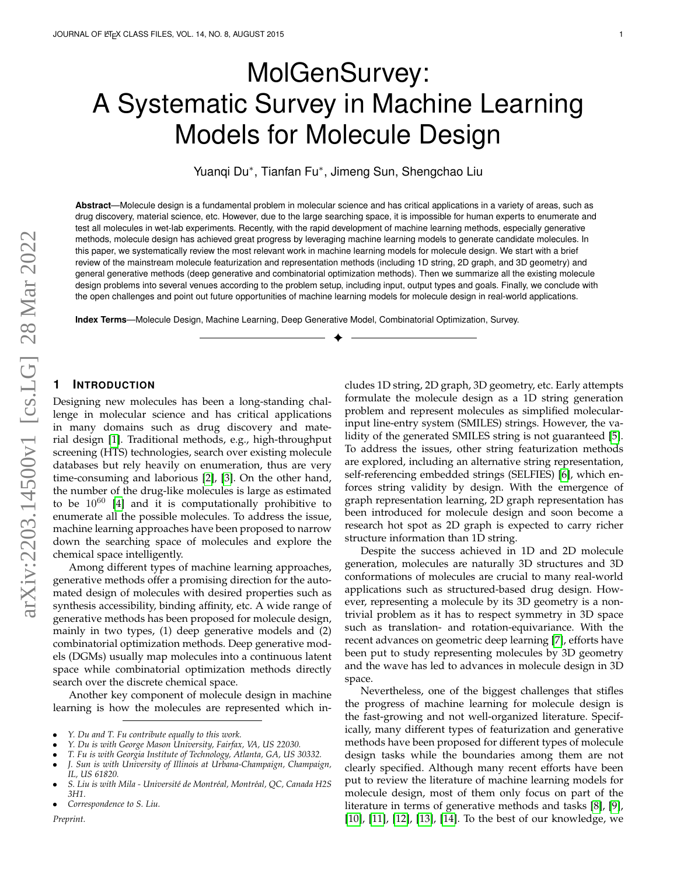# MolGenSurvey: A Systematic Survey in Machine Learning Models for Molecule Design

Yuanqi Du<sup>∗</sup> , Tianfan Fu<sup>∗</sup> , Jimeng Sun, Shengchao Liu

**Abstract**—Molecule design is a fundamental problem in molecular science and has critical applications in a variety of areas, such as drug discovery, material science, etc. However, due to the large searching space, it is impossible for human experts to enumerate and test all molecules in wet-lab experiments. Recently, with the rapid development of machine learning methods, especially generative methods, molecule design has achieved great progress by leveraging machine learning models to generate candidate molecules. In this paper, we systematically review the most relevant work in machine learning models for molecule design. We start with a brief review of the mainstream molecule featurization and representation methods (including 1D string, 2D graph, and 3D geometry) and general generative methods (deep generative and combinatorial optimization methods). Then we summarize all the existing molecule design problems into several venues according to the problem setup, including input, output types and goals. Finally, we conclude with the open challenges and point out future opportunities of machine learning models for molecule design in real-world applications.

✦

**Index Terms**—Molecule Design, Machine Learning, Deep Generative Model, Combinatorial Optimization, Survey.

## **1 INTRODUCTION**

Designing new molecules has been a long-standing challenge in molecular science and has critical applications in many domains such as drug discovery and material design [\[1\]](#page-14-0). Traditional methods, e.g., high-throughput screening (HTS) technologies, search over existing molecule databases but rely heavily on enumeration, thus are very time-consuming and laborious [\[2\]](#page-14-1), [\[3\]](#page-14-2). On the other hand, the number of the drug-like molecules is large as estimated to be  $10^{60}$  [\[4\]](#page-14-3) and it is computationally prohibitive to enumerate all the possible molecules. To address the issue, machine learning approaches have been proposed to narrow down the searching space of molecules and explore the chemical space intelligently.

Among different types of machine learning approaches, generative methods offer a promising direction for the automated design of molecules with desired properties such as synthesis accessibility, binding affinity, etc. A wide range of generative methods has been proposed for molecule design, mainly in two types, (1) deep generative models and (2) combinatorial optimization methods. Deep generative models (DGMs) usually map molecules into a continuous latent space while combinatorial optimization methods directly search over the discrete chemical space.

Another key component of molecule design in machine learning is how the molecules are represented which in-

*Preprint.*

cludes 1D string, 2D graph, 3D geometry, etc. Early attempts formulate the molecule design as a 1D string generation problem and represent molecules as simplified molecularinput line-entry system (SMILES) strings. However, the validity of the generated SMILES string is not guaranteed [\[5\]](#page-14-4). To address the issues, other string featurization methods are explored, including an alternative string representation, self-referencing embedded strings (SELFIES) [\[6\]](#page-14-5), which enforces string validity by design. With the emergence of graph representation learning, 2D graph representation has been introduced for molecule design and soon become a research hot spot as 2D graph is expected to carry richer structure information than 1D string.

Despite the success achieved in 1D and 2D molecule generation, molecules are naturally 3D structures and 3D conformations of molecules are crucial to many real-world applications such as structured-based drug design. However, representing a molecule by its 3D geometry is a nontrivial problem as it has to respect symmetry in 3D space such as translation- and rotation-equivariance. With the recent advances on geometric deep learning [\[7\]](#page-14-6), efforts have been put to study representing molecules by 3D geometry and the wave has led to advances in molecule design in 3D space.

Nevertheless, one of the biggest challenges that stifles the progress of machine learning for molecule design is the fast-growing and not well-organized literature. Specifically, many different types of featurization and generative methods have been proposed for different types of molecule design tasks while the boundaries among them are not clearly specified. Although many recent efforts have been put to review the literature of machine learning models for molecule design, most of them only focus on part of the literature in terms of generative methods and tasks [\[8\]](#page-14-7), [\[9\]](#page-14-8), [\[10\]](#page-14-9), [\[11\]](#page-14-10), [\[12\]](#page-14-11), [\[13\]](#page-14-12), [\[14\]](#page-14-13). To the best of our knowledge, we

<sup>•</sup> *Y. Du and T. Fu contribute equally to this work.*

<sup>•</sup> *Y. Du is with George Mason University, Fairfax, VA, US 22030.*

<sup>•</sup> *T. Fu is with Georgia Institute of Technology, Atlanta, GA, US 30332.*

<sup>•</sup> *J. Sun is with University of Illinois at Urbana-Champaign, Champaign, IL, US 61820.*

<sup>•</sup> *S. Liu is with Mila - Universit´e de Montr´eal, Montr´eal, QC, Canada H2S 3H1.*

<sup>•</sup> *Correspondence to S. Liu.*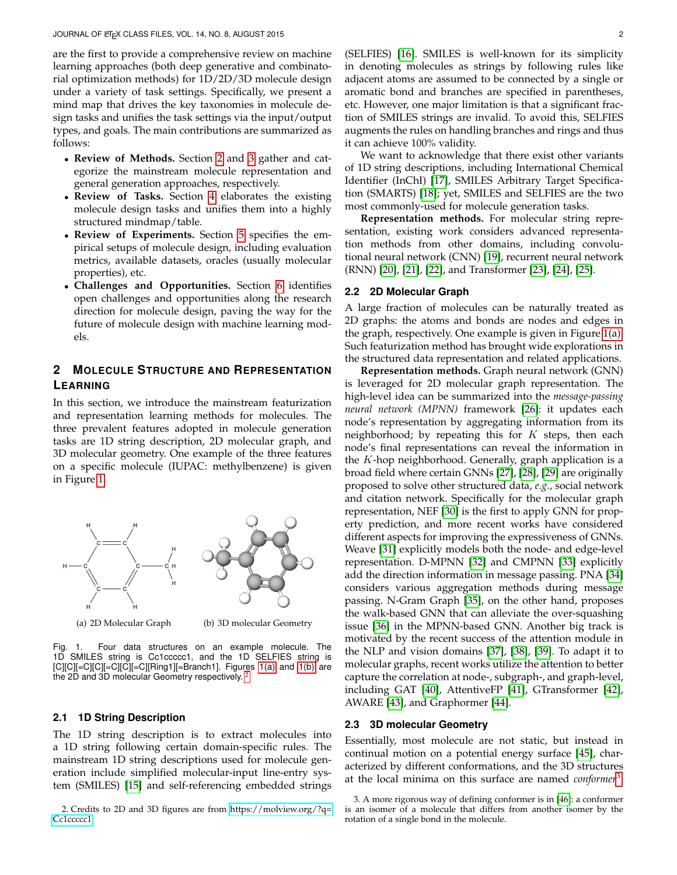are the first to provide a comprehensive review on machine learning approaches (both deep generative and combinatorial optimization methods) for 1D/2D/3D molecule design under a variety of task settings. Specifically, we present a mind map that drives the key taxonomies in molecule design tasks and unifies the task settings via the input/output types, and goals. The main contributions are summarized as follows:

- **Review of Methods.** Section [2](#page-1-0) and [3](#page-2-0) gather and categorize the mainstream molecule representation and general generation approaches, respectively.
- **Review of Tasks.** Section [4](#page-5-0) elaborates the existing molecule design tasks and unifies them into a highly structured mindmap/table.
- **Review of Experiments.** Section [5](#page-11-0) specifies the empirical setups of molecule design, including evaluation metrics, available datasets, oracles (usually molecular properties), etc.
- **Challenges and Opportunities.** Section [6](#page-13-0) identifies open challenges and opportunities along the research direction for molecule design, paving the way for the future of molecule design with machine learning models.

## <span id="page-1-0"></span>**2 MOLECULE STRUCTURE AND REPRESENTATION LEARNING**

In this section, we introduce the mainstream featurization and representation learning methods for molecules. The three prevalent features adopted in molecule generation tasks are 1D string description, 2D molecular graph, and 3D molecular geometry. One example of the three features on a specific molecule (IUPAC: methylbenzene) is given in Figure [1.](#page-1-1)

<span id="page-1-2"></span>

<span id="page-1-3"></span><span id="page-1-1"></span>(a) 2D Molecular Graph (b) 3D molecular Geometry

Fig. 1. Four data structures on an example molecule. The 1D SMILES string is Cc1ccccc1, and the 1D SELFIES string is  $[C][C]$ [=C][C][=C][C][=C][Ring1][=Branch1]. Figures [1\(a\)](#page-1-2) and [1\(b\)](#page-1-3) are the [2](#page-1-4)D and 3D molecular Geometry respectively.<sup>2</sup>

## **2.1 1D String Description**

The 1D string description is to extract molecules into a 1D string following certain domain-specific rules. The mainstream 1D string descriptions used for molecule generation include simplified molecular-input line-entry system (SMILES) [\[15\]](#page-14-14) and self-referencing embedded strings

<span id="page-1-4"></span>2. Credits to 2D and 3D figures are from [https://molview.org/?q=](https://molview.org/?q=Cc1ccccc1) [Cc1ccccc1.](https://molview.org/?q=Cc1ccccc1)

(SELFIES) [\[16\]](#page-14-15). SMILES is well-known for its simplicity in denoting molecules as strings by following rules like adjacent atoms are assumed to be connected by a single or aromatic bond and branches are specified in parentheses, etc. However, one major limitation is that a significant fraction of SMILES strings are invalid. To avoid this, SELFIES augments the rules on handling branches and rings and thus it can achieve 100% validity.

We want to acknowledge that there exist other variants of 1D string descriptions, including International Chemical Identifier (InChI) [\[17\]](#page-14-16), SMILES Arbitrary Target Specification (SMARTS) [\[18\]](#page-14-17); yet, SMILES and SELFIES are the two most commonly-used for molecule generation tasks.

**Representation methods.** For molecular string representation, existing work considers advanced representation methods from other domains, including convolutional neural network (CNN) [\[19\]](#page-14-18), recurrent neural network (RNN) [\[20\]](#page-14-19), [\[21\]](#page-14-20), [\[22\]](#page-14-21), and Transformer [\[23\]](#page-14-22), [\[24\]](#page-14-23), [\[25\]](#page-14-24).

## **2.2 2D Molecular Graph**

A large fraction of molecules can be naturally treated as 2D graphs: the atoms and bonds are nodes and edges in the graph, respectively. One example is given in Figure [1\(a\).](#page-1-2) Such featurization method has brought wide explorations in the structured data representation and related applications.

**Representation methods.** Graph neural network (GNN) is leveraged for 2D molecular graph representation. The high-level idea can be summarized into the *message-passing neural network (MPNN)* framework [\[26\]](#page-14-25): it updates each node's representation by aggregating information from its neighborhood; by repeating this for  $K$  steps, then each node's final representations can reveal the information in the  $K$ -hop neighborhood. Generally, graph application is a broad field where certain GNNs [\[27\]](#page-14-26), [\[28\]](#page-14-27), [\[29\]](#page-14-28) are originally proposed to solve other structured data, *e.g.*, social network and citation network. Specifically for the molecular graph representation, NEF [\[30\]](#page-14-29) is the first to apply GNN for property prediction, and more recent works have considered different aspects for improving the expressiveness of GNNs. Weave [\[31\]](#page-14-30) explicitly models both the node- and edge-level representation. D-MPNN [\[32\]](#page-14-31) and CMPNN [\[33\]](#page-14-32) explicitly add the direction information in message passing. PNA [\[34\]](#page-14-33) considers various aggregation methods during message passing. N-Gram Graph [\[35\]](#page-14-34), on the other hand, proposes the walk-based GNN that can alleviate the over-squashing issue [\[36\]](#page-14-35) in the MPNN-based GNN. Another big track is motivated by the recent success of the attention module in the NLP and vision domains [\[37\]](#page-14-36), [\[38\]](#page-14-37), [\[39\]](#page-15-0). To adapt it to molecular graphs, recent works utilize the attention to better capture the correlation at node-, subgraph-, and graph-level, including GAT [\[40\]](#page-15-1), AttentiveFP [\[41\]](#page-15-2), GTransformer [\[42\]](#page-15-3), AWARE [\[43\]](#page-15-4), and Graphormer [\[44\]](#page-15-5).

#### **2.3 3D molecular Geometry**

Essentially, most molecule are not static, but instead in continual motion on a potential energy surface [\[45\]](#page-15-6), characterized by different conformations, and the 3D structures at the local minima on this surface are named *conformer*[3](#page-1-5) .

<span id="page-1-5"></span><sup>3.</sup> A more rigorous way of defining conformer is in [\[46\]](#page-15-7): a conformer is an isomer of a molecule that differs from another isomer by the rotation of a single bond in the molecule.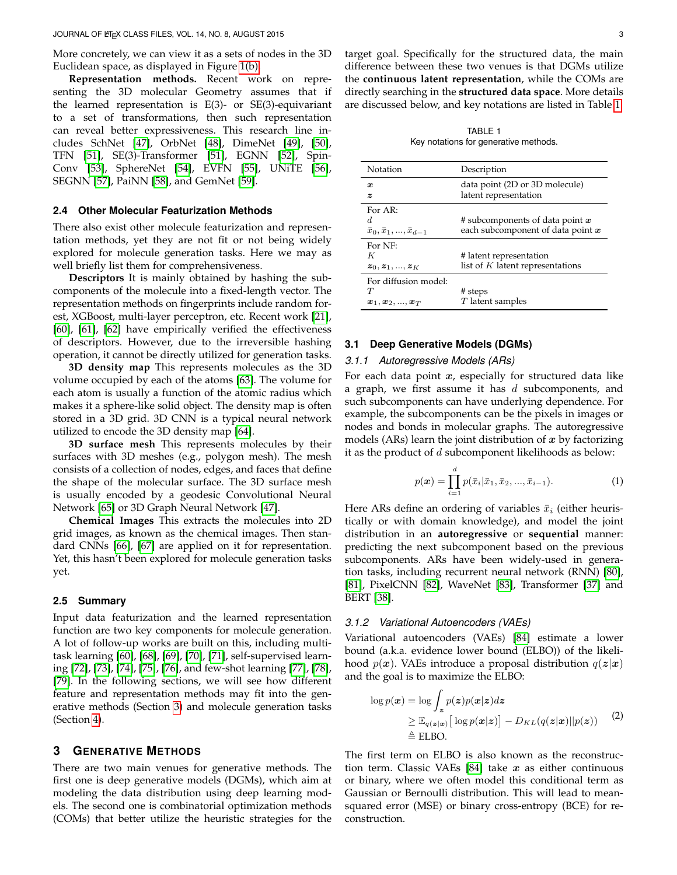More concretely, we can view it as a sets of nodes in the 3D Euclidean space, as displayed in Figure [1\(b\).](#page-1-3)

**Representation methods.** Recent work on representing the 3D molecular Geometry assumes that if the learned representation is  $E(3)$ - or  $SE(3)$ -equivariant to a set of transformations, then such representation can reveal better expressiveness. This research line includes SchNet [\[47\]](#page-15-8), OrbNet [\[48\]](#page-15-9), DimeNet [\[49\]](#page-15-10), [\[50\]](#page-15-11), TFN [\[51\]](#page-15-12), SE(3)-Transformer [\[51\]](#page-15-12), EGNN [\[52\]](#page-15-13), Spin-Conv [\[53\]](#page-15-14), SphereNet [\[54\]](#page-15-15), EVFN [\[55\]](#page-15-16), UNiTE [\[56\]](#page-15-17), SEGNN [\[57\]](#page-15-18), PaiNN [\[58\]](#page-15-19), and GemNet [\[59\]](#page-15-20).

## **2.4 Other Molecular Featurization Methods**

There also exist other molecule featurization and representation methods, yet they are not fit or not being widely explored for molecule generation tasks. Here we may as well briefly list them for comprehensiveness.

**Descriptors** It is mainly obtained by hashing the subcomponents of the molecule into a fixed-length vector. The representation methods on fingerprints include random forest, XGBoost, multi-layer perceptron, etc. Recent work [\[21\]](#page-14-20), [\[60\]](#page-15-21), [\[61\]](#page-15-22), [\[62\]](#page-15-23) have empirically verified the effectiveness of descriptors. However, due to the irreversible hashing operation, it cannot be directly utilized for generation tasks.

**3D density map** This represents molecules as the 3D volume occupied by each of the atoms [\[63\]](#page-15-24). The volume for each atom is usually a function of the atomic radius which makes it a sphere-like solid object. The density map is often stored in a 3D grid. 3D CNN is a typical neural network utilized to encode the 3D density map [\[64\]](#page-15-25).

**3D surface mesh** This represents molecules by their surfaces with 3D meshes (e.g., polygon mesh). The mesh consists of a collection of nodes, edges, and faces that define the shape of the molecular surface. The 3D surface mesh is usually encoded by a geodesic Convolutional Neural Network [\[65\]](#page-15-26) or 3D Graph Neural Network [\[47\]](#page-15-8).

**Chemical Images** This extracts the molecules into 2D grid images, as known as the chemical images. Then standard CNNs [\[66\]](#page-15-27), [\[67\]](#page-15-28) are applied on it for representation. Yet, this hasn't been explored for molecule generation tasks yet.

## **2.5 Summary**

Input data featurization and the learned representation function are two key components for molecule generation. A lot of follow-up works are built on this, including multitask learning [\[60\]](#page-15-21), [\[68\]](#page-15-29), [\[69\]](#page-15-30), [\[70\]](#page-15-31), [\[71\]](#page-15-32), self-supervised learning [\[72\]](#page-15-33), [\[73\]](#page-15-34), [\[74\]](#page-15-35), [\[75\]](#page-15-36), [\[76\]](#page-15-37), and few-shot learning [\[77\]](#page-15-38), [\[78\]](#page-15-39), [\[79\]](#page-15-40). In the following sections, we will see how different feature and representation methods may fit into the generative methods (Section [3\)](#page-2-0) and molecule generation tasks (Section [4\)](#page-5-0).

## <span id="page-2-0"></span>**3 GENERATIVE METHODS**

There are two main venues for generative methods. The first one is deep generative models (DGMs), which aim at modeling the data distribution using deep learning models. The second one is combinatorial optimization methods (COMs) that better utilize the heuristic strategies for the target goal. Specifically for the structured data, the main difference between these two venues is that DGMs utilize the **continuous latent representation**, while the COMs are directly searching in the **structured data space**. More details are discussed below, and key notations are listed in Table [1.](#page-2-1)

TABLE 1 Key notations for generative methods.

<span id="page-2-1"></span>

| Notation                                                                                | Description                                                              |
|-----------------------------------------------------------------------------------------|--------------------------------------------------------------------------|
| $\boldsymbol{x}$<br>z                                                                   | data point (2D or 3D molecule)<br>latent representation                  |
| For AR:<br>d.<br>$\bar{x}_0, \bar{x}_1, , \bar{x}_{d-1}$                                | # subcomponents of data point $x$<br>each subcomponent of data point $x$ |
| For NF:<br>K<br>$z_0, z_1, , z_K$                                                       | # latent representation<br>list of $K$ latent representations            |
| For diffusion model:<br>$\tau$<br>$\boldsymbol{x}_1,\boldsymbol{x}_2,,\boldsymbol{x}_T$ | # steps<br>$T$ latent samples                                            |

## **3.1 Deep Generative Models (DGMs)**

#### *3.1.1 Autoregressive Models (ARs)*

For each data point  $x$ , especially for structured data like a graph, we first assume it has  $d$  subcomponents, and such subcomponents can have underlying dependence. For example, the subcomponents can be the pixels in images or nodes and bonds in molecular graphs. The autoregressive models (ARs) learn the joint distribution of  $x$  by factorizing it as the product of  $d$  subcomponent likelihoods as below:

$$
p(\boldsymbol{x}) = \prod_{i=1}^{d} p(\bar{x}_i | \bar{x}_1, \bar{x}_2, ..., \bar{x}_{i-1}).
$$
 (1)

Here ARs define an ordering of variables  $\bar{x}_i$  (either heuristically or with domain knowledge), and model the joint distribution in an **autoregressive** or **sequential** manner: predicting the next subcomponent based on the previous subcomponents. ARs have been widely-used in generation tasks, including recurrent neural network (RNN) [\[80\]](#page-15-41), [\[81\]](#page-15-42), PixelCNN [\[82\]](#page-15-43), WaveNet [\[83\]](#page-16-0), Transformer [\[37\]](#page-14-36) and BERT [\[38\]](#page-14-37).

## *3.1.2 Variational Autoencoders (VAEs)*

Variational autoencoders (VAEs) [\[84\]](#page-16-1) estimate a lower bound (a.k.a. evidence lower bound (ELBO)) of the likelihood  $p(x)$ . VAEs introduce a proposal distribution  $q(z|x)$ and the goal is to maximize the ELBO:

<span id="page-2-2"></span>
$$
\log p(\boldsymbol{x}) = \log \int_{\boldsymbol{z}} p(\boldsymbol{z}) p(\boldsymbol{x} | \boldsymbol{z}) d\boldsymbol{z} \geq \mathbb{E}_{q(\boldsymbol{z}|\boldsymbol{x})} [\log p(\boldsymbol{x} | \boldsymbol{z})] - D_{KL}(q(\boldsymbol{z}|\boldsymbol{x}) || p(\boldsymbol{z})) \quad (2) \n\triangleq \text{ELBO}.
$$

The first term on ELBO is also known as the reconstruction term. Classic VAEs  $[84]$  take  $x$  as either continuous or binary, where we often model this conditional term as Gaussian or Bernoulli distribution. This will lead to meansquared error (MSE) or binary cross-entropy (BCE) for reconstruction.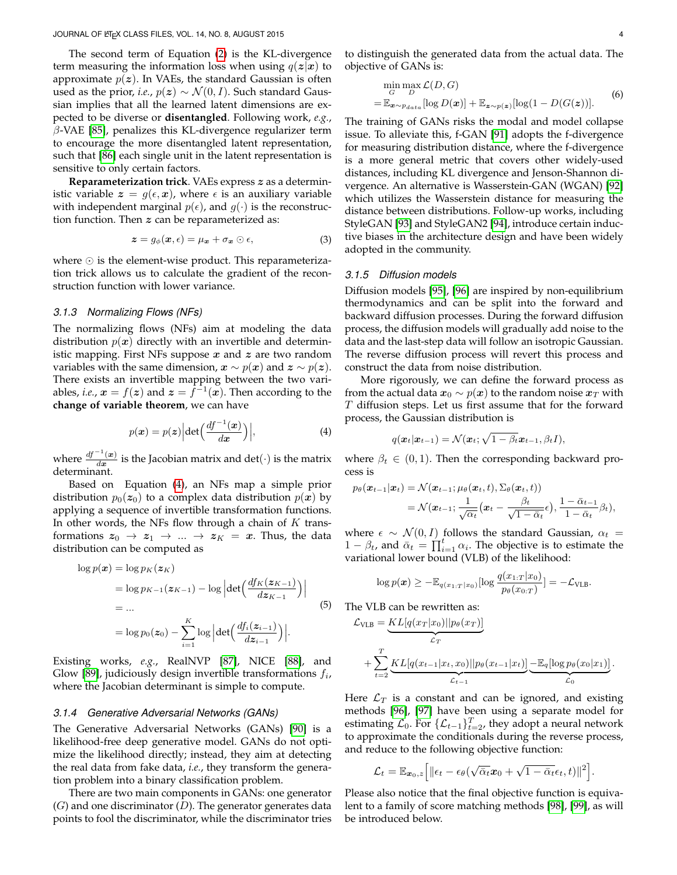The second term of Equation [\(2\)](#page-2-2) is the KL-divergence term measuring the information loss when using  $q(z|x)$  to approximate  $p(z)$ . In VAEs, the standard Gaussian is often used as the prior, *i.e.*,  $p(z) \sim \mathcal{N}(0, I)$ . Such standard Gaussian implies that all the learned latent dimensions are expected to be diverse or **disentangled**. Following work, *e.g.*,  $\beta$ -VAE [\[85\]](#page-16-2), penalizes this KL-divergence regularizer term to encourage the more disentangled latent representation, such that [\[86\]](#page-16-3) each single unit in the latent representation is sensitive to only certain factors.

**Reparameterization trick**. VAEs express z as a deterministic variable  $z = g(\epsilon, x)$ , where  $\epsilon$  is an auxiliary variable with independent marginal  $p(\epsilon)$ , and  $q(\cdot)$  is the reconstruction function. Then  $z$  can be reparameterized as:

$$
z = g_{\phi}(\boldsymbol{x}, \epsilon) = \mu_{\boldsymbol{x}} + \sigma_{\boldsymbol{x}} \odot \epsilon, \tag{3}
$$

where  $\odot$  is the element-wise product. This reparameterization trick allows us to calculate the gradient of the reconstruction function with lower variance.

#### *3.1.3 Normalizing Flows (NFs)*

The normalizing flows (NFs) aim at modeling the data distribution  $p(x)$  directly with an invertible and deterministic mapping. First NFs suppose  $x$  and  $z$  are two random variables with the same dimension,  $x \sim p(x)$  and  $z \sim p(z)$ . There exists an invertible mapping between the two variables, *i.e.*,  $x = f(z)$  and  $z = \overline{f}^{-1}(x)$ . Then according to the **change of variable theorem**, we can have

<span id="page-3-0"></span>
$$
p(\boldsymbol{x}) = p(\boldsymbol{z}) \left| \det \left( \frac{df^{-1}(\boldsymbol{x})}{d\boldsymbol{x}} \right) \right|,\tag{4}
$$

where  $\frac{df^{-1}(x)}{dx}$  $\frac{d\mathbf{x}}{dx}$  is the Jacobian matrix and  $\det(\cdot)$  is the matrix determinant.

Based on Equation [\(4\)](#page-3-0), an NFs map a simple prior distribution  $p_0(z_0)$  to a complex data distribution  $p(x)$  by applying a sequence of invertible transformation functions. In other words, the NFs flow through a chain of  $K$  transformations  $z_0 \rightarrow z_1 \rightarrow ... \rightarrow z_K = x$ . Thus, the data distribution can be computed as

$$
\log p(\boldsymbol{x}) = \log p_K(\boldsymbol{z}_K)
$$
  
=  $\log p_{K-1}(\boldsymbol{z}_{K-1}) - \log |\det \left( \frac{df_K(\boldsymbol{z}_{K-1})}{d \boldsymbol{z}_{K-1}} \right)|$   
= ...  
=  $\log p_0(\boldsymbol{z}_0) - \sum_{i=1}^K \log |\det \left( \frac{df_i(\boldsymbol{z}_{i-1})}{d \boldsymbol{z}_{i-1}} \right)|.$  (5)

Existing works, *e.g.*, RealNVP [\[87\]](#page-16-4), NICE [\[88\]](#page-16-5), and Glow [\[89\]](#page-16-6), judiciously design invertible transformations  $f_i$ , where the Jacobian determinant is simple to compute.

#### *3.1.4 Generative Adversarial Networks (GANs)*

The Generative Adversarial Networks (GANs) [\[90\]](#page-16-7) is a likelihood-free deep generative model. GANs do not optimize the likelihood directly; instead, they aim at detecting the real data from fake data, *i.e.*, they transform the generation problem into a binary classification problem.

There are two main components in GANs: one generator  $(G)$  and one discriminator  $(D)$ . The generator generates data points to fool the discriminator, while the discriminator tries

to distinguish the generated data from the actual data. The objective of GANs is:

$$
\min_{G} \max_{D} \mathcal{L}(D, G) = \mathbb{E}_{\mathbf{x} \sim p_{data}}[\log D(\mathbf{x})] + \mathbb{E}_{\mathbf{z} \sim p(\mathbf{z})}[\log(1 - D(G(\mathbf{z})))].
$$
\n(6)

The training of GANs risks the modal and model collapse issue. To alleviate this, f-GAN [\[91\]](#page-16-8) adopts the f-divergence for measuring distribution distance, where the f-divergence is a more general metric that covers other widely-used distances, including KL divergence and Jenson-Shannon divergence. An alternative is Wasserstein-GAN (WGAN) [\[92\]](#page-16-9) which utilizes the Wasserstein distance for measuring the distance between distributions. Follow-up works, including StyleGAN [\[93\]](#page-16-10) and StyleGAN2 [\[94\]](#page-16-11), introduce certain inductive biases in the architecture design and have been widely adopted in the community.

## *3.1.5 Diffusion models*

Diffusion models [\[95\]](#page-16-12), [\[96\]](#page-16-13) are inspired by non-equilibrium thermodynamics and can be split into the forward and backward diffusion processes. During the forward diffusion process, the diffusion models will gradually add noise to the data and the last-step data will follow an isotropic Gaussian. The reverse diffusion process will revert this process and construct the data from noise distribution.

More rigorously, we can define the forward process as from the actual data  $x_0 \sim p(x)$  to the random noise  $x_T$  with  $T$  diffusion steps. Let us first assume that for the forward process, the Gaussian distribution is

$$
q(\boldsymbol{x}_t|\boldsymbol{x}_{t-1})=\mathcal{N}(\boldsymbol{x}_t;\sqrt{1-\beta_t}\boldsymbol{x}_{t-1},\beta_t I),
$$

where  $\beta_t \in (0,1)$ . Then the corresponding backward process is

$$
p_{\theta}(\boldsymbol{x}_{t-1}|\boldsymbol{x}_{t}) = \mathcal{N}(\boldsymbol{x}_{t-1}; \mu_{\theta}(\boldsymbol{x}_{t}, t), \Sigma_{\theta}(\boldsymbol{x}_{t}, t))
$$
  
=  $\mathcal{N}(\boldsymbol{x}_{t-1}; \frac{1}{\sqrt{\alpha_{t}}}(\boldsymbol{x}_{t} - \frac{\beta_{t}}{\sqrt{1-\bar{\alpha}_{t}}}\epsilon), \frac{1-\bar{\alpha}_{t-1}}{1-\bar{\alpha}_{t}}\beta_{t}),$ 

where  $\epsilon \sim \mathcal{N}(0, I)$  follows the standard Gaussian,  $\alpha_t =$  $1 - \beta_t$ , and  $\bar{\alpha}_t = \prod_{i=1}^t \alpha_i$ . The objective is to estimate the variational lower bound (VLB) of the likelihood:

$$
\log p(\boldsymbol{x}) \geq -\mathbb{E}_{q(x_{1:T}|x_0)}[\log \frac{q(x_{1:T}|x_0)}{p_\theta(x_{0:T})}] = -\mathcal{L}_{\text{VLB}}.
$$

The VLB can be rewritten as:

$$
\mathcal{L}_{\text{VLB}} = \underbrace{KL[q(x_T|x_0)||p_{\theta}(x_T)]}_{\mathcal{L}_T}
$$
  
+ 
$$
\sum_{t=2}^T \underbrace{KL[q(x_{t-1}|x_t, x_0)||p_{\theta}(x_{t-1}|x_t)]}_{\mathcal{L}_{t-1}} - \underbrace{\mathbb{E}_q[\log p_{\theta}(x_0|x_1)]}_{\mathcal{L}_0}.
$$

Here  $\mathcal{L}_T$  is a constant and can be ignored, and existing methods [\[96\]](#page-16-13), [\[97\]](#page-16-14) have been using a separate model for estimating  $\mathcal{L}_0$ . For  $\{\mathcal{L}_{t-1}\}_{t=2}^T$ , they adopt a neural network to approximate the conditionals during the reverse process, and reduce to the following objective function:

$$
\mathcal{L}_t = \mathbb{E}_{\boldsymbol{x}_0, z}\Big[\|\epsilon_t - \epsilon_\theta(\sqrt{\bar{\alpha}_t}\boldsymbol{x}_0 + \sqrt{1-\bar{\alpha}_t}\epsilon_t, t)\|^2\Big].
$$

Please also notice that the final objective function is equivalent to a family of score matching methods [\[98\]](#page-16-15), [\[99\]](#page-16-16), as will be introduced below.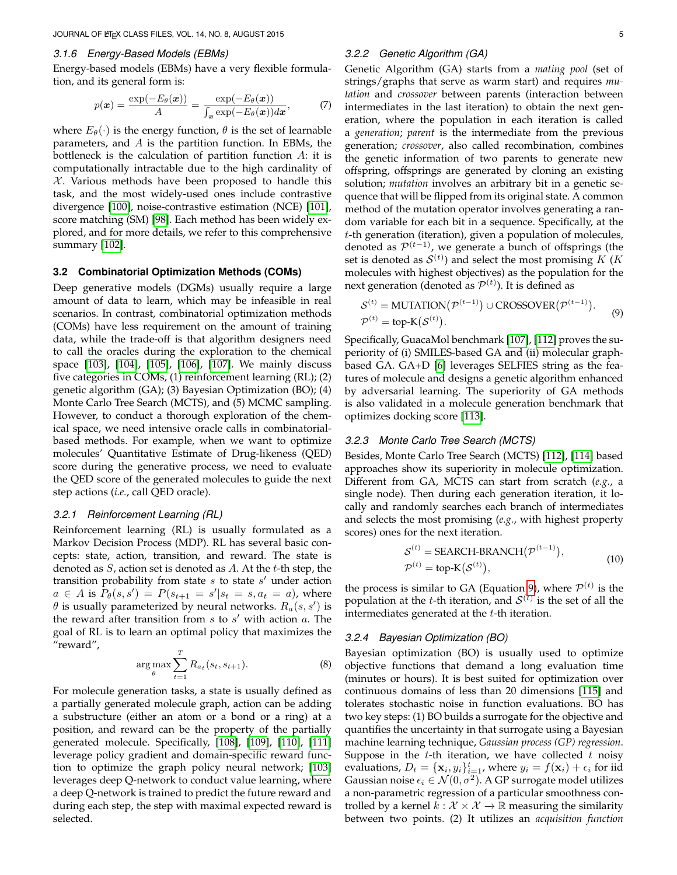#### *3.1.6 Energy-Based Models (EBMs)*

Energy-based models (EBMs) have a very flexible formulation, and its general form is:

$$
p(\boldsymbol{x}) = \frac{\exp(-E_{\theta}(\boldsymbol{x}))}{A} = \frac{\exp(-E_{\theta}(\boldsymbol{x}))}{\int_{\boldsymbol{x}} \exp(-E_{\theta}(\boldsymbol{x})) d\boldsymbol{x}},\tag{7}
$$

where  $E_{\theta}(\cdot)$  is the energy function,  $\theta$  is the set of learnable parameters, and  $A$  is the partition function. In EBMs, the bottleneck is the calculation of partition function  $A$ : it is computationally intractable due to the high cardinality of  $X$ . Various methods have been proposed to handle this task, and the most widely-used ones include contrastive divergence [\[100\]](#page-16-17), noise-contrastive estimation (NCE) [\[101\]](#page-16-18), score matching (SM) [\[98\]](#page-16-15). Each method has been widely explored, and for more details, we refer to this comprehensive summary [\[102\]](#page-16-19).

## **3.2 Combinatorial Optimization Methods (COMs)**

Deep generative models (DGMs) usually require a large amount of data to learn, which may be infeasible in real scenarios. In contrast, combinatorial optimization methods (COMs) have less requirement on the amount of training data, while the trade-off is that algorithm designers need to call the oracles during the exploration to the chemical space [\[103\]](#page-16-20), [\[104\]](#page-16-21), [\[105\]](#page-16-22), [\[106\]](#page-16-23), [\[107\]](#page-16-24). We mainly discuss five categories in COMs, (1) reinforcement learning (RL); (2) genetic algorithm (GA); (3) Bayesian Optimization (BO); (4) Monte Carlo Tree Search (MCTS), and (5) MCMC sampling. However, to conduct a thorough exploration of the chemical space, we need intensive oracle calls in combinatorialbased methods. For example, when we want to optimize molecules' Quantitative Estimate of Drug-likeness (QED) score during the generative process, we need to evaluate the QED score of the generated molecules to guide the next step actions (*i.e.*, call QED oracle).

#### *3.2.1 Reinforcement Learning (RL)*

Reinforcement learning (RL) is usually formulated as a Markov Decision Process (MDP). RL has several basic concepts: state, action, transition, and reward. The state is denoted as  $S$ , action set is denoted as  $A$ . At the  $t$ -th step, the transition probability from state  $s$  to state  $s'$  under action  $a \in A$  is  $P_{\theta}(s, s') = P(s_{t+1} = s'|s_t = s, a_t = a)$ , where  $\theta$  is usually parameterized by neural networks.  $R_a(s, s')$  is the reward after transition from  $s$  to  $s'$  with action  $a$ . The goal of RL is to learn an optimal policy that maximizes the "reward",

$$
\arg\max_{\theta} \sum_{t=1}^{T} R_{a_t}(s_t, s_{t+1}). \tag{8}
$$

For molecule generation tasks, a state is usually defined as a partially generated molecule graph, action can be adding a substructure (either an atom or a bond or a ring) at a position, and reward can be the property of the partially generated molecule. Specifically, [\[108\]](#page-16-25), [\[109\]](#page-16-26), [\[110\]](#page-16-27), [\[111\]](#page-16-28) leverage policy gradient and domain-specific reward function to optimize the graph policy neural network; [\[103\]](#page-16-20) leverages deep Q-network to conduct value learning, where a deep Q-network is trained to predict the future reward and during each step, the step with maximal expected reward is selected.

## *3.2.2 Genetic Algorithm (GA)*

Genetic Algorithm (GA) starts from a *mating pool* (set of strings/graphs that serve as warm start) and requires *mutation* and *crossover* between parents (interaction between intermediates in the last iteration) to obtain the next generation, where the population in each iteration is called a *generation*; *parent* is the intermediate from the previous generation; *crossover*, also called recombination, combines the genetic information of two parents to generate new offspring, offsprings are generated by cloning an existing solution; *mutation* involves an arbitrary bit in a genetic sequence that will be flipped from its original state. A common method of the mutation operator involves generating a random variable for each bit in a sequence. Specifically, at the t-th generation (iteration), given a population of molecules, denoted as  $\mathcal{P}^{(t-1)}$ , we generate a bunch of offsprings (the set is denoted as  $\mathcal{S}^{(t)}$ ) and select the most promising K (K molecules with highest objectives) as the population for the next generation (denoted as  $\mathcal{P}^{(t)}$ ). It is defined as

<span id="page-4-0"></span>
$$
S^{(t)} = \text{MUTATION}(\mathcal{P}^{(t-1)}) \cup \text{CROSSOVER}(\mathcal{P}^{(t-1)}).
$$
\n
$$
\mathcal{P}^{(t)} = \text{top-K}(S^{(t)}).
$$
\n(9)

Specifically, GuacaMol benchmark [\[107\]](#page-16-24), [\[112\]](#page-16-29) proves the superiority of (i) SMILES-based GA and (ii) molecular graphbased GA. GA+D [\[6\]](#page-14-5) leverages SELFIES string as the features of molecule and designs a genetic algorithm enhanced by adversarial learning. The superiority of GA methods is also validated in a molecule generation benchmark that optimizes docking score [\[113\]](#page-16-30).

## *3.2.3 Monte Carlo Tree Search (MCTS)*

Besides, Monte Carlo Tree Search (MCTS) [\[112\]](#page-16-29), [\[114\]](#page-16-31) based approaches show its superiority in molecule optimization. Different from GA, MCTS can start from scratch (*e.g.*, a single node). Then during each generation iteration, it locally and randomly searches each branch of intermediates and selects the most promising (*e.g.*, with highest property scores) ones for the next iteration.

$$
S^{(t)} = \text{SEARCH-BRANCH}(P^{(t-1)}),
$$
  
\n
$$
P^{(t)} = \text{top-K}(S^{(t)}),
$$
\n(10)

the process is similar to GA (Equation [9\)](#page-4-0), where  $\mathcal{P}^{(t)}$  is the population at the *t*-th iteration, and  $\mathcal{S}^{(t)}$  is the set of all the intermediates generated at the  $t$ -th iteration.

#### *3.2.4 Bayesian Optimization (BO)*

Bayesian optimization (BO) is usually used to optimize objective functions that demand a long evaluation time (minutes or hours). It is best suited for optimization over continuous domains of less than 20 dimensions [\[115\]](#page-16-32) and tolerates stochastic noise in function evaluations. BO has two key steps: (1) BO builds a surrogate for the objective and quantifies the uncertainty in that surrogate using a Bayesian machine learning technique, *Gaussian process (GP) regression*. Suppose in the  $t$ -th iteration, we have collected  $t$  noisy evaluations,  $D_t = {\mathbf{x}_i, y_i}_{i=1}^t$ , where  $y_i = f(\mathbf{x}_i) + \epsilon_i$  for iid Gaussian noise  $\epsilon_i \in \mathcal{N}(0, \sigma^2)$ . A GP surrogate model utilizes a non-parametric regression of a particular smoothness controlled by a kernel  $k : \mathcal{X} \times \mathcal{X} \rightarrow \mathbb{R}$  measuring the similarity between two points. (2) It utilizes an *acquisition function*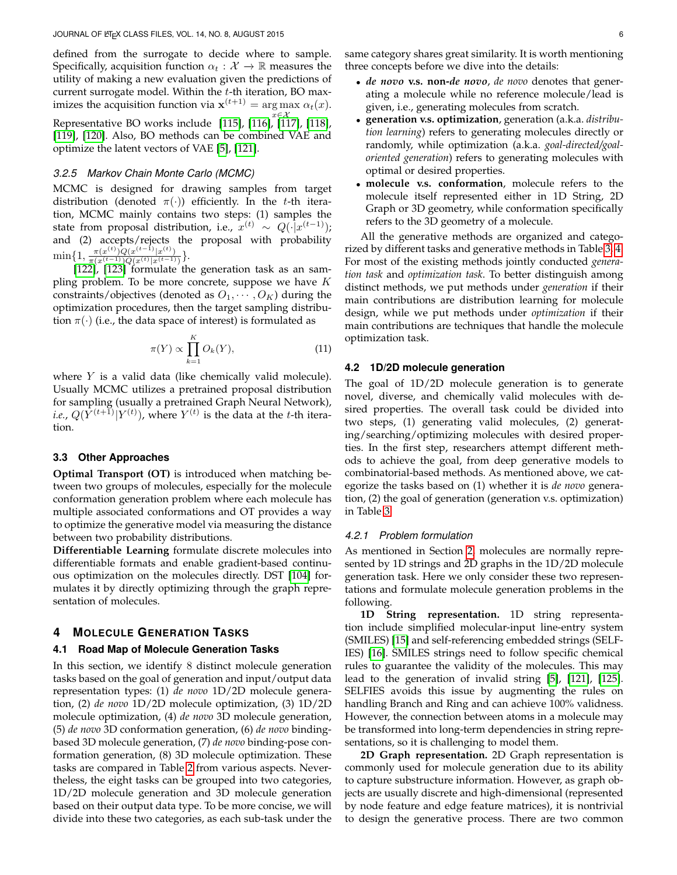defined from the surrogate to decide where to sample. Specifically, acquisition function  $\alpha_t : \mathcal{X} \to \mathbb{R}$  measures the utility of making a new evaluation given the predictions of current surrogate model. Within the t-th iteration, BO maximizes the acquisition function via  $\mathbf{x}^{(t+1)} = \arg \max \alpha_t(x)$ . Representative BO works include [\[115\]](#page-16-32), [\[116\]](#page-16-33), [\[117\]](#page-16-34), [\[118\]](#page-16-35), [\[119\]](#page-16-36), [\[120\]](#page-16-37). Also, BO methods can be combined VAE and optimize the latent vectors of VAE [\[5\]](#page-14-4), [\[121\]](#page-16-38).

#### *3.2.5 Markov Chain Monte Carlo (MCMC)*

MCMC is designed for drawing samples from target distribution (denoted  $\pi(\cdot)$ ) efficiently. In the t-th iteration, MCMC mainly contains two steps: (1) samples the state from proposal distribution, i.e.,  $x^{(t)} \sim Q(\cdot|x^{(t-1)})$ ; and (2) accepts/rejects the proposal with probability  $\min\{1, \frac{\pi(x^{(t)})Q(x^{(t-1)}|x^{(t)})}{\pi(x^{(t-1)})Q(x^{(t)}|x^{(t-1)})}$  $\frac{\pi(x^{(t)})Q(x^{(t-1)}|x^{(t)})}{\pi(x^{(t-1)})Q(x^{(t)}|x^{(t-1)})}$ .

[\[122\]](#page-16-39), [\[123\]](#page-16-40) formulate the generation task as an sampling problem. To be more concrete, suppose we have  $K$ constraints/objectives (denoted as  $O_1, \cdots, O_K$ ) during the optimization procedures, then the target sampling distribution  $\pi(\cdot)$  (i.e., the data space of interest) is formulated as

$$
\pi(Y) \propto \prod_{k=1}^{K} O_k(Y),\tag{11}
$$

where  $Y$  is a valid data (like chemically valid molecule). Usually MCMC utilizes a pretrained proposal distribution for sampling (usually a pretrained Graph Neural Network), *i.e.,*  $Q(Y^{(t+1)}|Y^{(t)})$ , where  $Y^{(t)}$  is the data at the *t*-th iteration.

## **3.3 Other Approaches**

**Optimal Transport (OT)** is introduced when matching between two groups of molecules, especially for the molecule conformation generation problem where each molecule has multiple associated conformations and OT provides a way to optimize the generative model via measuring the distance between two probability distributions.

**Differentiable Learning** formulate discrete molecules into differentiable formats and enable gradient-based continuous optimization on the molecules directly. DST [\[104\]](#page-16-21) formulates it by directly optimizing through the graph representation of molecules.

## <span id="page-5-0"></span>**4 MOLECULE GENERATION TASKS**

## **4.1 Road Map of Molecule Generation Tasks**

In this section, we identify 8 distinct molecule generation tasks based on the goal of generation and input/output data representation types: (1) *de novo* 1D/2D molecule generation, (2) *de novo* 1D/2D molecule optimization, (3) 1D/2D molecule optimization, (4) *de novo* 3D molecule generation, (5) *de novo* 3D conformation generation, (6) *de novo* bindingbased 3D molecule generation, (7) *de novo* binding-pose conformation generation, (8) 3D molecule optimization. These tasks are compared in Table [2](#page-6-0) from various aspects. Nevertheless, the eight tasks can be grouped into two categories, 1D/2D molecule generation and 3D molecule generation based on their output data type. To be more concise, we will divide into these two categories, as each sub-task under the

- *de novo* **v.s. non-***de novo*, *de novo* denotes that generating a molecule while no reference molecule/lead is given, i.e., generating molecules from scratch.
- **generation v.s. optimization**, generation (a.k.a. *distribution learning*) refers to generating molecules directly or randomly, while optimization (a.k.a. *goal-directed/goaloriented generation*) refers to generating molecules with optimal or desired properties.
- **molecule v.s. conformation**, molecule refers to the molecule itself represented either in 1D String, 2D Graph or 3D geometry, while conformation specifically refers to the 3D geometry of a molecule.

All the generative methods are organized and categorized by different tasks and generative methods in Table [3,](#page-7-0) [4.](#page-8-0) For most of the existing methods jointly conducted *generation task* and *optimization task*. To better distinguish among distinct methods, we put methods under *generation* if their main contributions are distribution learning for molecule design, while we put methods under *optimization* if their main contributions are techniques that handle the molecule optimization task.

#### **4.2 1D/2D molecule generation**

The goal of 1D/2D molecule generation is to generate novel, diverse, and chemically valid molecules with desired properties. The overall task could be divided into two steps, (1) generating valid molecules, (2) generating/searching/optimizing molecules with desired properties. In the first step, researchers attempt different methods to achieve the goal, from deep generative models to combinatorial-based methods. As mentioned above, we categorize the tasks based on (1) whether it is *de novo* generation, (2) the goal of generation (generation v.s. optimization) in Table [3.](#page-7-0)

#### *4.2.1 Problem formulation*

As mentioned in Section [2,](#page-1-0) molecules are normally represented by 1D strings and 2D graphs in the 1D/2D molecule generation task. Here we only consider these two representations and formulate molecule generation problems in the following.

**1D String representation.** 1D string representation include simplified molecular-input line-entry system (SMILES) [\[15\]](#page-14-14) and self-referencing embedded strings (SELF-IES) [\[16\]](#page-14-15). SMILES strings need to follow specific chemical rules to guarantee the validity of the molecules. This may lead to the generation of invalid string [\[5\]](#page-14-4), [\[121\]](#page-16-38), [\[125\]](#page-16-41). SELFIES avoids this issue by augmenting the rules on handling Branch and Ring and can achieve 100% validness. However, the connection between atoms in a molecule may be transformed into long-term dependencies in string representations, so it is challenging to model them.

**2D Graph representation.** 2D Graph representation is commonly used for molecule generation due to its ability to capture substructure information. However, as graph objects are usually discrete and high-dimensional (represented by node feature and edge feature matrices), it is nontrivial to design the generative process. There are two common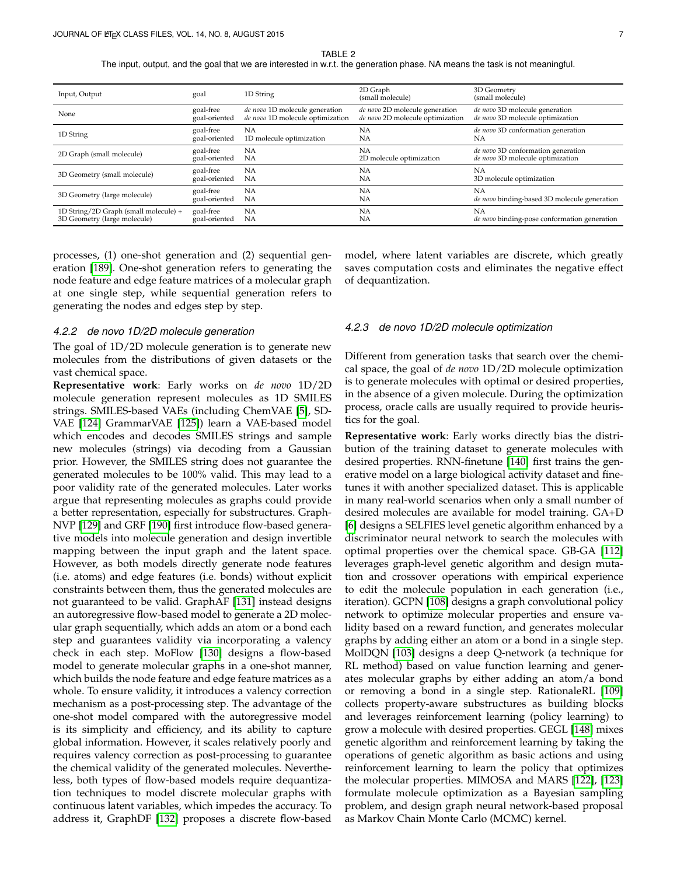TABLE 2

The input, output, and the goal that we are interested in w.r.t. the generation phase. NA means the task is not meaningful.

<span id="page-6-0"></span>

| Input, Output                         | goal          | 1D String                        | 2D Graph<br>(small molecule)     | 3D Geometry<br>(small molecule)              |
|---------------------------------------|---------------|----------------------------------|----------------------------------|----------------------------------------------|
| None                                  | goal-free     | de novo 1D molecule generation   | de novo 2D molecule generation   | de novo 3D molecule generation               |
|                                       | goal-oriented | de novo 1D molecule optimization | de novo 2D molecule optimization | de novo 3D molecule optimization             |
| 1D String                             | goal-free     | NА                               | NA                               | de novo 3D conformation generation           |
|                                       | goal-oriented | 1D molecule optimization         | NA                               | NA                                           |
| 2D Graph (small molecule)             | goal-free     | NA                               | NA                               | de novo 3D conformation generation           |
|                                       | goal-oriented | <b>NA</b>                        | 2D molecule optimization         | de novo 3D molecule optimization             |
| 3D Geometry (small molecule)          | goal-free     | <b>NA</b>                        | <b>NA</b>                        | <b>NA</b>                                    |
|                                       | goal-oriented | <b>NA</b>                        | NA                               | 3D molecule optimization                     |
| 3D Geometry (large molecule)          | goal-free     | NA                               | NA                               | NA                                           |
|                                       | goal-oriented | <b>NA</b>                        | <b>NA</b>                        | de novo binding-based 3D molecule generation |
| 1D String/2D Graph (small molecule) + | goal-free     | NA                               | <b>NA</b>                        | NA                                           |
| 3D Geometry (large molecule)          | goal-oriented | <b>NA</b>                        | <b>NA</b>                        | de novo binding-pose conformation generation |
|                                       |               |                                  |                                  |                                              |

processes, (1) one-shot generation and (2) sequential generation [\[189\]](#page-18-0). One-shot generation refers to generating the node feature and edge feature matrices of a molecular graph at one single step, while sequential generation refers to generating the nodes and edges step by step.

#### *4.2.2 de novo 1D/2D molecule generation*

The goal of 1D/2D molecule generation is to generate new molecules from the distributions of given datasets or the vast chemical space.

**Representative work**: Early works on *de novo* 1D/2D molecule generation represent molecules as 1D SMILES strings. SMILES-based VAEs (including ChemVAE [\[5\]](#page-14-4), SD-VAE [\[124\]](#page-16-42) GrammarVAE [\[125\]](#page-16-41)) learn a VAE-based model which encodes and decodes SMILES strings and sample new molecules (strings) via decoding from a Gaussian prior. However, the SMILES string does not guarantee the generated molecules to be 100% valid. This may lead to a poor validity rate of the generated molecules. Later works argue that representing molecules as graphs could provide a better representation, especially for substructures. Graph-NVP [\[129\]](#page-16-43) and GRF [\[190\]](#page-18-1) first introduce flow-based generative models into molecule generation and design invertible mapping between the input graph and the latent space. However, as both models directly generate node features (i.e. atoms) and edge features (i.e. bonds) without explicit constraints between them, thus the generated molecules are not guaranteed to be valid. GraphAF [\[131\]](#page-17-0) instead designs an autoregressive flow-based model to generate a 2D molecular graph sequentially, which adds an atom or a bond each step and guarantees validity via incorporating a valency check in each step. MoFlow [\[130\]](#page-16-44) designs a flow-based model to generate molecular graphs in a one-shot manner, which builds the node feature and edge feature matrices as a whole. To ensure validity, it introduces a valency correction mechanism as a post-processing step. The advantage of the one-shot model compared with the autoregressive model is its simplicity and efficiency, and its ability to capture global information. However, it scales relatively poorly and requires valency correction as post-processing to guarantee the chemical validity of the generated molecules. Nevertheless, both types of flow-based models require dequantization techniques to model discrete molecular graphs with continuous latent variables, which impedes the accuracy. To address it, GraphDF [\[132\]](#page-17-1) proposes a discrete flow-based

model, where latent variables are discrete, which greatly saves computation costs and eliminates the negative effect of dequantization.

#### *4.2.3 de novo 1D/2D molecule optimization*

Different from generation tasks that search over the chemical space, the goal of *de novo* 1D/2D molecule optimization is to generate molecules with optimal or desired properties, in the absence of a given molecule. During the optimization process, oracle calls are usually required to provide heuristics for the goal.

**Representative work**: Early works directly bias the distribution of the training dataset to generate molecules with desired properties. RNN-finetune [\[140\]](#page-17-2) first trains the generative model on a large biological activity dataset and finetunes it with another specialized dataset. This is applicable in many real-world scenarios when only a small number of desired molecules are available for model training. GA+D [\[6\]](#page-14-5) designs a SELFIES level genetic algorithm enhanced by a discriminator neural network to search the molecules with optimal properties over the chemical space. GB-GA [\[112\]](#page-16-29) leverages graph-level genetic algorithm and design mutation and crossover operations with empirical experience to edit the molecule population in each generation (i.e., iteration). GCPN [\[108\]](#page-16-25) designs a graph convolutional policy network to optimize molecular properties and ensure validity based on a reward function, and generates molecular graphs by adding either an atom or a bond in a single step. MolDQN [\[103\]](#page-16-20) designs a deep Q-network (a technique for RL method) based on value function learning and generates molecular graphs by either adding an atom/a bond or removing a bond in a single step. RationaleRL [\[109\]](#page-16-26) collects property-aware substructures as building blocks and leverages reinforcement learning (policy learning) to grow a molecule with desired properties. GEGL [\[148\]](#page-17-3) mixes genetic algorithm and reinforcement learning by taking the operations of genetic algorithm as basic actions and using reinforcement learning to learn the policy that optimizes the molecular properties. MIMOSA and MARS [\[122\]](#page-16-39), [\[123\]](#page-16-40) formulate molecule optimization as a Bayesian sampling problem, and design graph neural network-based proposal as Markov Chain Monte Carlo (MCMC) kernel.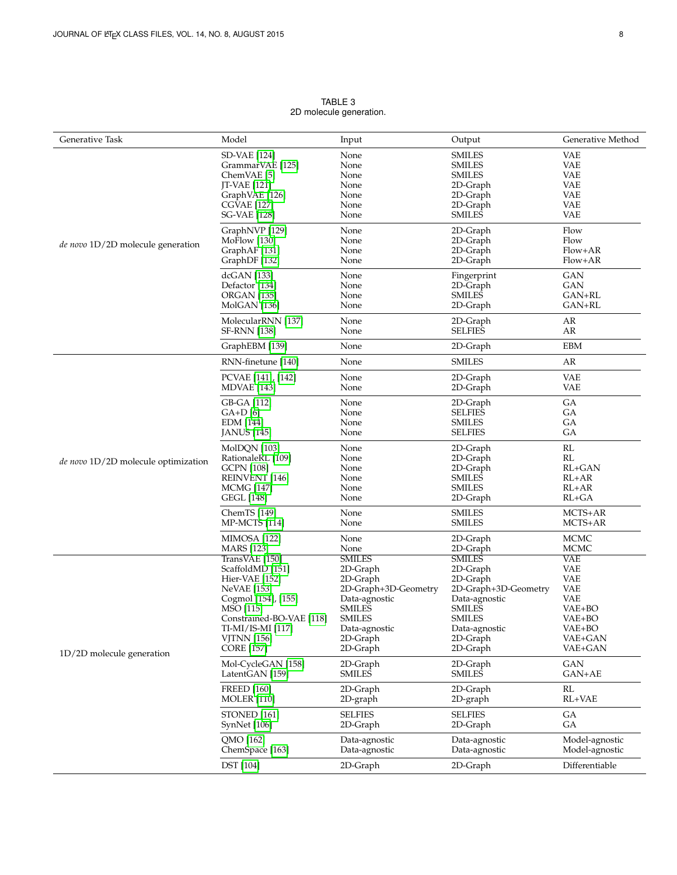<span id="page-7-0"></span>

| Generative Task                     | Model                        | Input                          | Output                         | Generative Method                |
|-------------------------------------|------------------------------|--------------------------------|--------------------------------|----------------------------------|
|                                     | <b>SD-VAE</b> [124]          | None                           | <b>SMILES</b>                  | <b>VAE</b>                       |
|                                     | GrammarVAE [125]             | None                           | <b>SMILES</b>                  | <b>VAE</b>                       |
|                                     | ChemVAE [5]                  | None                           | <b>SMILES</b>                  | <b>VAE</b>                       |
|                                     | <b>JT-VAE</b> [121]          | None                           | 2D-Graph                       | <b>VAE</b>                       |
|                                     |                              |                                |                                |                                  |
|                                     | GraphVAE [126]               | None                           | 2D-Graph                       | <b>VAE</b>                       |
|                                     | <b>CGVAE</b> [127]           | None                           | 2D-Graph                       | <b>VAE</b>                       |
|                                     | <b>SG-VAE</b> [128]          | None                           | <b>SMILES</b>                  | <b>VAE</b>                       |
|                                     | GraphNVP [129]               | None                           | 2D-Graph                       | Flow                             |
| de novo 1D/2D molecule generation   | MoFlow [130]                 | None                           | 2D-Graph                       | Flow                             |
|                                     | GraphAF [131]                | None                           | 2D-Graph                       | Flow+AR                          |
|                                     | GraphDF [132]                | None                           | 2D-Graph                       | Flow+AR                          |
|                                     | dcGAN [133]                  | None                           | Fingerprint                    | <b>GAN</b>                       |
|                                     | Defactor [134]               | None                           | 2D-Graph                       | <b>GAN</b>                       |
|                                     | <b>ORGAN</b> [135]           | None                           | <b>SMILES</b>                  | $GAN+RL$                         |
|                                     | MolGAN [136]                 | None                           | 2D-Graph                       | GAN+RL                           |
|                                     | MolecularRNN [137]           | None                           | 2D-Graph                       | AR                               |
|                                     | <b>SF-RNN</b> [138]          | None                           | <b>SELFIES</b>                 | AR                               |
|                                     | GraphEBM [139]               | None                           | 2D-Graph                       | <b>EBM</b>                       |
|                                     |                              | None                           | <b>SMILES</b>                  | AR                               |
|                                     | RNN-finetune [140]           |                                |                                |                                  |
|                                     | PCVAE [141], [142]           | None                           | 2D-Graph                       | <b>VAE</b>                       |
|                                     | <b>MDVAE</b> [143]           | None                           | 2D-Graph                       | <b>VAE</b>                       |
|                                     | GB-GA [112]                  | None                           | 2D-Graph                       | GA                               |
|                                     | $GA+D[6]$                    | None                           | <b>SELFIES</b>                 | GA                               |
|                                     | EDM [144]                    | None                           | <b>SMILES</b>                  | GA                               |
|                                     |                              | None                           | <b>SELFIES</b>                 | GA                               |
|                                     | <b>JANUS</b> [145]           |                                |                                |                                  |
|                                     | MolDQN [103]                 | None                           | 2D-Graph                       | RL                               |
| de novo 1D/2D molecule optimization | RationaleRL [109]            | None                           | 2D-Graph                       | RL                               |
|                                     | <b>GCPN</b> [108]            | None                           | 2D-Graph                       | $RL+GAN$                         |
|                                     | <b>REINVENT</b> [146]        | None                           | SMILES                         | $RL+AR$                          |
|                                     | <b>MCMG</b> [147]            | None                           | <b>SMILES</b>                  | $RL+AR$                          |
|                                     |                              | None                           |                                | $RL+GA$                          |
|                                     | <b>GEGL</b> [148]            |                                | 2D-Graph                       |                                  |
|                                     | ChemTS [149]                 | None                           | <b>SMILES</b>                  | MCTS+AR                          |
|                                     | <b>MP-MCTS</b> [114]         | None                           | <b>SMILES</b>                  | MCTS+AR                          |
|                                     | <b>MIMOSA</b> [122]          | None                           | 2D-Graph                       | <b>MCMC</b>                      |
|                                     | <b>MARS</b> [123]            | None                           | 2D-Graph                       | <b>MCMC</b>                      |
|                                     | TransVAE [150]               | <b>SMILES</b>                  | <b>SMILES</b>                  | <b>VAE</b>                       |
|                                     | ScaffoldMD [151]             | 2D-Graph                       | 2D-Graph                       | <b>VAE</b>                       |
|                                     | Hier-VAE [152]               | 2D-Graph                       | 2D-Graph                       | <b>VAE</b>                       |
|                                     |                              |                                |                                | <b>VAE</b>                       |
|                                     | <b>NeVAE</b> [153]           | 2D-Graph+3D-Geometry           | 2D-Graph+3D-Geometry           |                                  |
|                                     | Cogmol [154], [155]          | Data-agnostic                  | Data-agnostic                  | <b>VAE</b>                       |
|                                     | MSO [115]                    | <b>SMILES</b>                  | <b>SMILES</b>                  | VAE+BO                           |
|                                     | Constrained-BO-VAE [118]     | <b>SMILES</b>                  | SMILES                         | VAE+BO                           |
|                                     | TI-MI/IS-MI [117]            | Data-agnostic                  | Data-agnostic                  | VAE+BO                           |
|                                     | <b>VJTNN</b> [156]           | 2D-Graph                       | 2D-Graph                       | VAE+GAN                          |
|                                     | <b>CORE</b> [157]            | 2D-Graph                       | 2D-Graph                       | VAE+GAN                          |
| 1D/2D molecule generation           | Mol-CycleGAN [158]           | 2D-Graph                       | 2D-Graph                       | <b>GAN</b>                       |
|                                     | LatentGAN [159]              | <b>SMILES</b>                  | <b>SMILES</b>                  | GAN+AE                           |
|                                     | <b>FREED</b> [160]           |                                |                                | RL                               |
|                                     | <b>MOLER</b> [110]           | 2D-Graph<br>2D-graph           | 2D-Graph<br>2D-graph           | RL+VAE                           |
|                                     |                              | <b>SELFIES</b>                 | <b>SELFIES</b>                 | GA                               |
|                                     | STONED [161]<br>SynNet [106] | 2D-Graph                       | 2D-Graph                       | GА                               |
|                                     | QMO [162]                    |                                |                                |                                  |
|                                     | ChemSpace [163]              | Data-agnostic<br>Data-agnostic | Data-agnostic<br>Data-agnostic | Model-agnostic<br>Model-agnostic |
|                                     |                              |                                |                                | Differentiable                   |
|                                     | <b>DST</b> [104]             | 2D-Graph                       | 2D-Graph                       |                                  |

TABLE 3 2D molecule generation.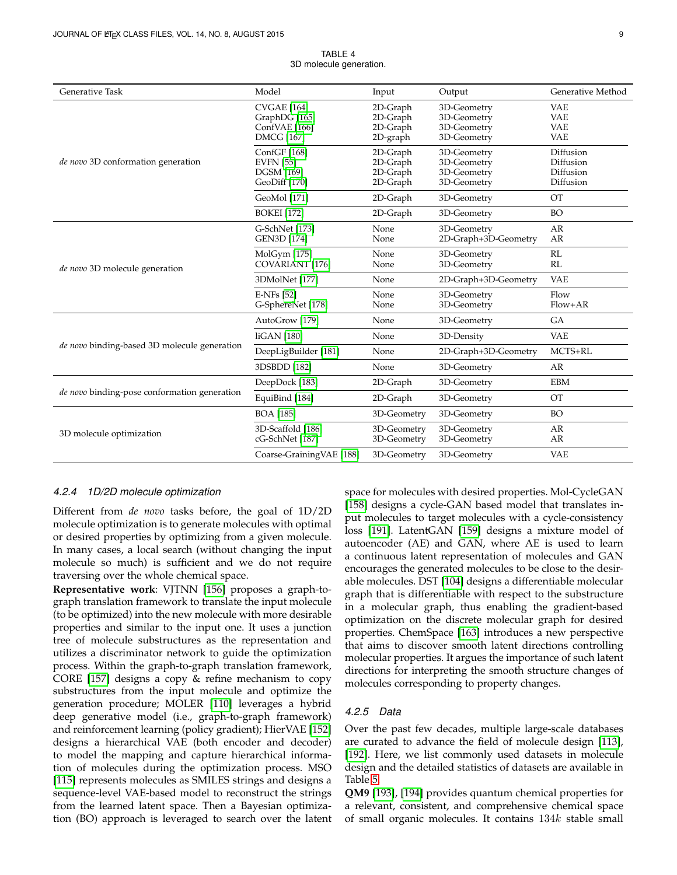<span id="page-8-0"></span>

| <b>Generative Task</b>                       | Model                                                                     | Input                                        | Output                                                   | Generative Method                                    |
|----------------------------------------------|---------------------------------------------------------------------------|----------------------------------------------|----------------------------------------------------------|------------------------------------------------------|
|                                              | <b>CVGAE</b> [164]<br>GraphDG [165]<br>ConfVAE [166]<br><b>DMCG</b> [167] | 2D-Graph<br>2D-Graph<br>2D-Graph<br>2D-graph | 3D-Geometry<br>3D-Geometry<br>3D-Geometry<br>3D-Geometry | <b>VAE</b><br><b>VAE</b><br><b>VAE</b><br><b>VAE</b> |
| de novo 3D conformation generation           | ConfGF [168]<br><b>EVFN</b> [55]<br><b>DGSM</b> [169]<br>GeoDiff [170]    | 2D-Graph<br>2D-Graph<br>2D-Graph<br>2D-Graph | 3D-Geometry<br>3D-Geometry<br>3D-Geometry<br>3D-Geometry | Diffusion<br>Diffusion<br>Diffusion<br>Diffusion     |
|                                              | GeoMol [171]                                                              | 2D-Graph                                     | 3D-Geometry                                              | <b>OT</b>                                            |
|                                              | <b>BOKEI</b> [172]                                                        | 2D-Graph                                     | 3D-Geometry                                              | <b>BO</b>                                            |
| de novo 3D molecule generation               | G-SchNet [173]<br><b>GEN3D</b> [174]                                      | None<br>None                                 | 3D-Geometry<br>2D-Graph+3D-Geometry                      | AR<br>AR                                             |
|                                              | MolGym [175]<br><b>COVARIANT</b> [176]                                    | None<br>None                                 | 3D-Geometry<br>3D-Geometry                               | RL<br>RL                                             |
|                                              | 3DMolNet [177]                                                            | None                                         | 2D-Graph+3D-Geometry                                     | <b>VAE</b>                                           |
|                                              | E-NFs [52]<br>G-SphereNet [178]                                           | None<br>None                                 | 3D-Geometry<br>3D-Geometry                               | Flow<br>Flow+AR                                      |
| de novo binding-based 3D molecule generation | AutoGrow [179]                                                            | None                                         | 3D-Geometry                                              | <b>GA</b>                                            |
|                                              | liGAN [180]                                                               | None                                         | 3D-Density                                               | <b>VAE</b>                                           |
|                                              | DeepLigBuilder [181]                                                      | 2D-Graph+3D-Geometry<br>None                 |                                                          | MCTS+RL                                              |
|                                              | 3DSBDD [182]                                                              | None                                         | 3D-Geometry                                              | AR                                                   |
| de novo binding-pose conformation generation | DeepDock [183]                                                            | 2D-Graph                                     | 3D-Geometry                                              | <b>EBM</b>                                           |
|                                              | EquiBind [184]                                                            | 2D-Graph                                     | 3D-Geometry                                              | <b>OT</b>                                            |
| 3D molecule optimization                     | <b>BOA</b> [185]                                                          | 3D-Geometry                                  | 3D-Geometry                                              | <b>BO</b>                                            |
|                                              | 3D-Scaffold [186]<br>cG-SchNet [187]                                      | 3D-Geometry<br>3D-Geometry                   | 3D-Geometry<br>3D-Geometry                               | AR<br>AR                                             |
|                                              | Coarse-Graining VAE [188]                                                 | 3D-Geometry                                  | 3D-Geometry                                              | <b>VAE</b>                                           |

TABLE 4 3D molecule generation.

#### *4.2.4 1D/2D molecule optimization*

Different from *de novo* tasks before, the goal of 1D/2D molecule optimization is to generate molecules with optimal or desired properties by optimizing from a given molecule. In many cases, a local search (without changing the input molecule so much) is sufficient and we do not require traversing over the whole chemical space.

**Representative work**: VJTNN [\[156\]](#page-17-25) proposes a graph-tograph translation framework to translate the input molecule (to be optimized) into the new molecule with more desirable properties and similar to the input one. It uses a junction tree of molecule substructures as the representation and utilizes a discriminator network to guide the optimization process. Within the graph-to-graph translation framework, CORE [\[157\]](#page-17-26) designs a copy & refine mechanism to copy substructures from the input molecule and optimize the generation procedure; MOLER [\[110\]](#page-16-27) leverages a hybrid deep generative model (i.e., graph-to-graph framework) and reinforcement learning (policy gradient); HierVAE [\[152\]](#page-17-21) designs a hierarchical VAE (both encoder and decoder) to model the mapping and capture hierarchical information of molecules during the optimization process. MSO [\[115\]](#page-16-32) represents molecules as SMILES strings and designs a sequence-level VAE-based model to reconstruct the strings from the learned latent space. Then a Bayesian optimization (BO) approach is leveraged to search over the latent space for molecules with desired properties. Mol-CycleGAN [\[158\]](#page-17-27) designs a cycle-GAN based model that translates input molecules to target molecules with a cycle-consistency loss [\[191\]](#page-18-17). LatentGAN [\[159\]](#page-17-28) designs a mixture model of autoencoder (AE) and GAN, where AE is used to learn a continuous latent representation of molecules and GAN encourages the generated molecules to be close to the desirable molecules. DST [\[104\]](#page-16-21) designs a differentiable molecular graph that is differentiable with respect to the substructure in a molecular graph, thus enabling the gradient-based optimization on the discrete molecular graph for desired properties. ChemSpace [\[163\]](#page-17-32) introduces a new perspective that aims to discover smooth latent directions controlling molecular properties. It argues the importance of such latent directions for interpreting the smooth structure changes of molecules corresponding to property changes.

## *4.2.5 Data*

Over the past few decades, multiple large-scale databases are curated to advance the field of molecule design [\[113\]](#page-16-30), [\[192\]](#page-18-18). Here, we list commonly used datasets in molecule design and the detailed statistics of datasets are available in Table [5.](#page-12-0)

**QM9** [\[193\]](#page-18-19), [\[194\]](#page-18-20) provides quantum chemical properties for a relevant, consistent, and comprehensive chemical space of small organic molecules. It contains  $134k$  stable small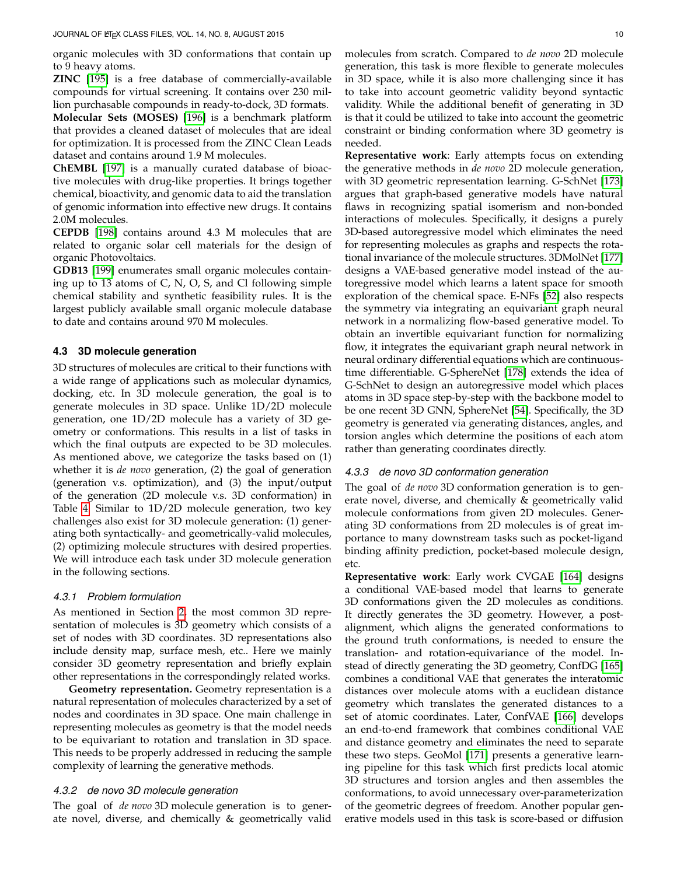organic molecules with 3D conformations that contain up to 9 heavy atoms.

**ZINC** [\[195\]](#page-18-21) is a free database of commercially-available compounds for virtual screening. It contains over 230 million purchasable compounds in ready-to-dock, 3D formats. **Molecular Sets (MOSES)** [\[196\]](#page-18-22) is a benchmark platform that provides a cleaned dataset of molecules that are ideal for optimization. It is processed from the ZINC Clean Leads dataset and contains around 1.9 M molecules.

**ChEMBL** [\[197\]](#page-18-23) is a manually curated database of bioactive molecules with drug-like properties. It brings together chemical, bioactivity, and genomic data to aid the translation of genomic information into effective new drugs. It contains 2.0M molecules.

**CEPDB** [\[198\]](#page-18-24) contains around 4.3 M molecules that are related to organic solar cell materials for the design of organic Photovoltaics.

**GDB13** [\[199\]](#page-18-25) enumerates small organic molecules containing up to 13 atoms of C, N, O, S, and Cl following simple chemical stability and synthetic feasibility rules. It is the largest publicly available small organic molecule database to date and contains around 970 M molecules.

## **4.3 3D molecule generation**

3D structures of molecules are critical to their functions with a wide range of applications such as molecular dynamics, docking, etc. In 3D molecule generation, the goal is to generate molecules in 3D space. Unlike 1D/2D molecule generation, one 1D/2D molecule has a variety of 3D geometry or conformations. This results in a list of tasks in which the final outputs are expected to be 3D molecules. As mentioned above, we categorize the tasks based on (1) whether it is *de novo* generation, (2) the goal of generation (generation v.s. optimization), and (3) the input/output of the generation (2D molecule v.s. 3D conformation) in Table [4.](#page-8-0) Similar to 1D/2D molecule generation, two key challenges also exist for 3D molecule generation: (1) generating both syntactically- and geometrically-valid molecules, (2) optimizing molecule structures with desired properties. We will introduce each task under 3D molecule generation in the following sections.

#### *4.3.1 Problem formulation*

As mentioned in Section [2,](#page-1-0) the most common 3D representation of molecules is 3D geometry which consists of a set of nodes with 3D coordinates. 3D representations also include density map, surface mesh, etc.. Here we mainly consider 3D geometry representation and briefly explain other representations in the correspondingly related works.

**Geometry representation.** Geometry representation is a natural representation of molecules characterized by a set of nodes and coordinates in 3D space. One main challenge in representing molecules as geometry is that the model needs to be equivariant to rotation and translation in 3D space. This needs to be properly addressed in reducing the sample complexity of learning the generative methods.

## *4.3.2 de novo 3D molecule generation*

The goal of *de novo* 3D molecule generation is to generate novel, diverse, and chemically & geometrically valid molecules from scratch. Compared to *de novo* 2D molecule generation, this task is more flexible to generate molecules in 3D space, while it is also more challenging since it has to take into account geometric validity beyond syntactic validity. While the additional benefit of generating in 3D is that it could be utilized to take into account the geometric constraint or binding conformation where 3D geometry is needed.

**Representative work**: Early attempts focus on extending the generative methods in *de novo* 2D molecule generation, with 3D geometric representation learning. G-SchNet [\[173\]](#page-17-42) argues that graph-based generative models have natural flaws in recognizing spatial isomerism and non-bonded interactions of molecules. Specifically, it designs a purely 3D-based autoregressive model which eliminates the need for representing molecules as graphs and respects the rotational invariance of the molecule structures. 3DMolNet [\[177\]](#page-18-5) designs a VAE-based generative model instead of the autoregressive model which learns a latent space for smooth exploration of the chemical space. E-NFs [\[52\]](#page-15-13) also respects the symmetry via integrating an equivariant graph neural network in a normalizing flow-based generative model. To obtain an invertible equivariant function for normalizing flow, it integrates the equivariant graph neural network in neural ordinary differential equations which are continuoustime differentiable. G-SphereNet [\[178\]](#page-18-6) extends the idea of G-SchNet to design an autoregressive model which places atoms in 3D space step-by-step with the backbone model to be one recent 3D GNN, SphereNet [\[54\]](#page-15-15). Specifically, the 3D geometry is generated via generating distances, angles, and torsion angles which determine the positions of each atom rather than generating coordinates directly.

## *4.3.3 de novo 3D conformation generation*

The goal of *de novo* 3D conformation generation is to generate novel, diverse, and chemically & geometrically valid molecule conformations from given 2D molecules. Generating 3D conformations from 2D molecules is of great importance to many downstream tasks such as pocket-ligand binding affinity prediction, pocket-based molecule design, etc.

**Representative work**: Early work CVGAE [\[164\]](#page-17-33) designs a conditional VAE-based model that learns to generate 3D conformations given the 2D molecules as conditions. It directly generates the 3D geometry. However, a postalignment, which aligns the generated conformations to the ground truth conformations, is needed to ensure the translation- and rotation-equivariance of the model. Instead of directly generating the 3D geometry, ConfDG [\[165\]](#page-17-34) combines a conditional VAE that generates the interatomic distances over molecule atoms with a euclidean distance geometry which translates the generated distances to a set of atomic coordinates. Later, ConfVAE [\[166\]](#page-17-35) develops an end-to-end framework that combines conditional VAE and distance geometry and eliminates the need to separate these two steps. GeoMol [\[171\]](#page-17-40) presents a generative learning pipeline for this task which first predicts local atomic 3D structures and torsion angles and then assembles the conformations, to avoid unnecessary over-parameterization of the geometric degrees of freedom. Another popular generative models used in this task is score-based or diffusion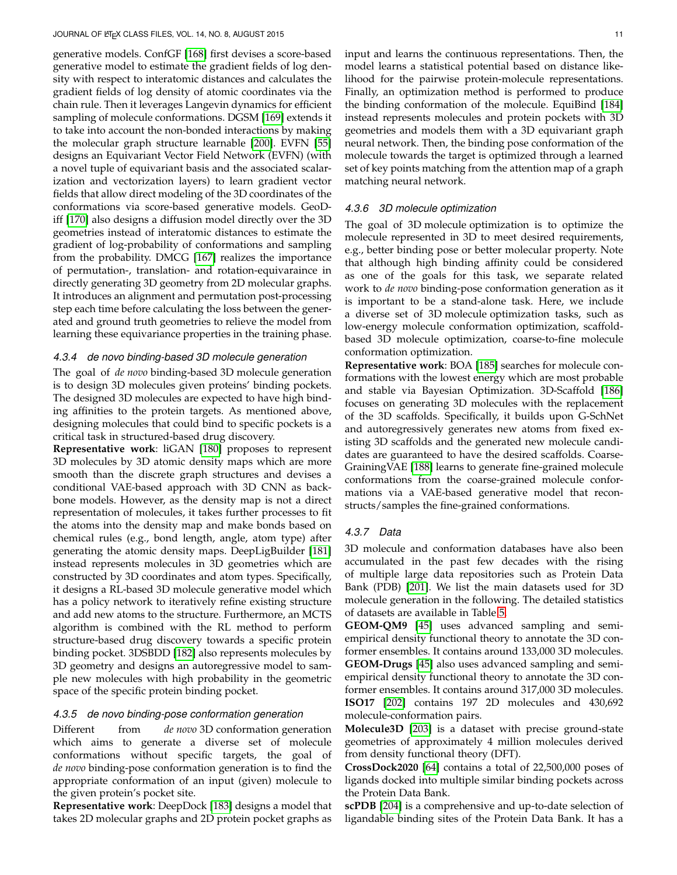generative models. ConfGF [\[168\]](#page-17-37) first devises a score-based generative model to estimate the gradient fields of log density with respect to interatomic distances and calculates the gradient fields of log density of atomic coordinates via the chain rule. Then it leverages Langevin dynamics for efficient sampling of molecule conformations. DGSM [\[169\]](#page-17-38) extends it to take into account the non-bonded interactions by making the molecular graph structure learnable [\[200\]](#page-18-26). EVFN [\[55\]](#page-15-16) designs an Equivariant Vector Field Network (EVFN) (with a novel tuple of equivariant basis and the associated scalarization and vectorization layers) to learn gradient vector fields that allow direct modeling of the 3D coordinates of the conformations via score-based generative models. GeoDiff [\[170\]](#page-17-39) also designs a diffusion model directly over the 3D geometries instead of interatomic distances to estimate the gradient of log-probability of conformations and sampling from the probability. DMCG [\[167\]](#page-17-36) realizes the importance of permutation-, translation- and rotation-equivaraince in directly generating 3D geometry from 2D molecular graphs. It introduces an alignment and permutation post-processing step each time before calculating the loss between the generated and ground truth geometries to relieve the model from learning these equivariance properties in the training phase.

#### *4.3.4 de novo binding-based 3D molecule generation*

The goal of *de novo* binding-based 3D molecule generation is to design 3D molecules given proteins' binding pockets. The designed 3D molecules are expected to have high binding affinities to the protein targets. As mentioned above, designing molecules that could bind to specific pockets is a critical task in structured-based drug discovery.

**Representative work**: liGAN [\[180\]](#page-18-8) proposes to represent 3D molecules by 3D atomic density maps which are more smooth than the discrete graph structures and devises a conditional VAE-based approach with 3D CNN as backbone models. However, as the density map is not a direct representation of molecules, it takes further processes to fit the atoms into the density map and make bonds based on chemical rules (e.g., bond length, angle, atom type) after generating the atomic density maps. DeepLigBuilder [\[181\]](#page-18-9) instead represents molecules in 3D geometries which are constructed by 3D coordinates and atom types. Specifically, it designs a RL-based 3D molecule generative model which has a policy network to iteratively refine existing structure and add new atoms to the structure. Furthermore, an MCTS algorithm is combined with the RL method to perform structure-based drug discovery towards a specific protein binding pocket. 3DSBDD [\[182\]](#page-18-10) also represents molecules by 3D geometry and designs an autoregressive model to sample new molecules with high probability in the geometric space of the specific protein binding pocket.

#### *4.3.5 de novo binding-pose conformation generation*

Different from *de novo* 3D conformation generation which aims to generate a diverse set of molecule conformations without specific targets, the goal of *de novo* binding-pose conformation generation is to find the appropriate conformation of an input (given) molecule to the given protein's pocket site.

**Representative work**: DeepDock [\[183\]](#page-18-11) designs a model that takes 2D molecular graphs and 2D protein pocket graphs as input and learns the continuous representations. Then, the model learns a statistical potential based on distance likelihood for the pairwise protein-molecule representations. Finally, an optimization method is performed to produce the binding conformation of the molecule. EquiBind [\[184\]](#page-18-12) instead represents molecules and protein pockets with 3D geometries and models them with a 3D equivariant graph neural network. Then, the binding pose conformation of the molecule towards the target is optimized through a learned set of key points matching from the attention map of a graph matching neural network.

#### *4.3.6 3D molecule optimization*

The goal of 3D molecule optimization is to optimize the molecule represented in 3D to meet desired requirements, e.g., better binding pose or better molecular property. Note that although high binding affinity could be considered as one of the goals for this task, we separate related work to *de novo* binding-pose conformation generation as it is important to be a stand-alone task. Here, we include a diverse set of 3D molecule optimization tasks, such as low-energy molecule conformation optimization, scaffoldbased 3D molecule optimization, coarse-to-fine molecule conformation optimization.

**Representative work**: BOA [\[185\]](#page-18-13) searches for molecule conformations with the lowest energy which are most probable and stable via Bayesian Optimization. 3D-Scaffold [\[186\]](#page-18-14) focuses on generating 3D molecules with the replacement of the 3D scaffolds. Specifically, it builds upon G-SchNet and autoregressively generates new atoms from fixed existing 3D scaffolds and the generated new molecule candidates are guaranteed to have the desired scaffolds. Coarse-GrainingVAE [\[188\]](#page-18-16) learns to generate fine-grained molecule conformations from the coarse-grained molecule conformations via a VAE-based generative model that reconstructs/samples the fine-grained conformations.

#### *4.3.7 Data*

3D molecule and conformation databases have also been accumulated in the past few decades with the rising of multiple large data repositories such as Protein Data Bank (PDB) [\[201\]](#page-18-27). We list the main datasets used for 3D molecule generation in the following. The detailed statistics of datasets are available in Table [5.](#page-12-0)

**GEOM-QM9** [\[45\]](#page-15-6) uses advanced sampling and semiempirical density functional theory to annotate the 3D conformer ensembles. It contains around 133,000 3D molecules. **GEOM-Drugs** [\[45\]](#page-15-6) also uses advanced sampling and semiempirical density functional theory to annotate the 3D conformer ensembles. It contains around 317,000 3D molecules. **ISO17** [\[202\]](#page-18-28) contains 197 2D molecules and 430,692 molecule-conformation pairs.

**Molecule3D** [\[203\]](#page-18-29) is a dataset with precise ground-state geometries of approximately 4 million molecules derived from density functional theory (DFT).

**CrossDock2020** [\[64\]](#page-15-25) contains a total of 22,500,000 poses of ligands docked into multiple similar binding pockets across the Protein Data Bank.

**scPDB** [\[204\]](#page-18-30) is a comprehensive and up-to-date selection of ligandable binding sites of the Protein Data Bank. It has a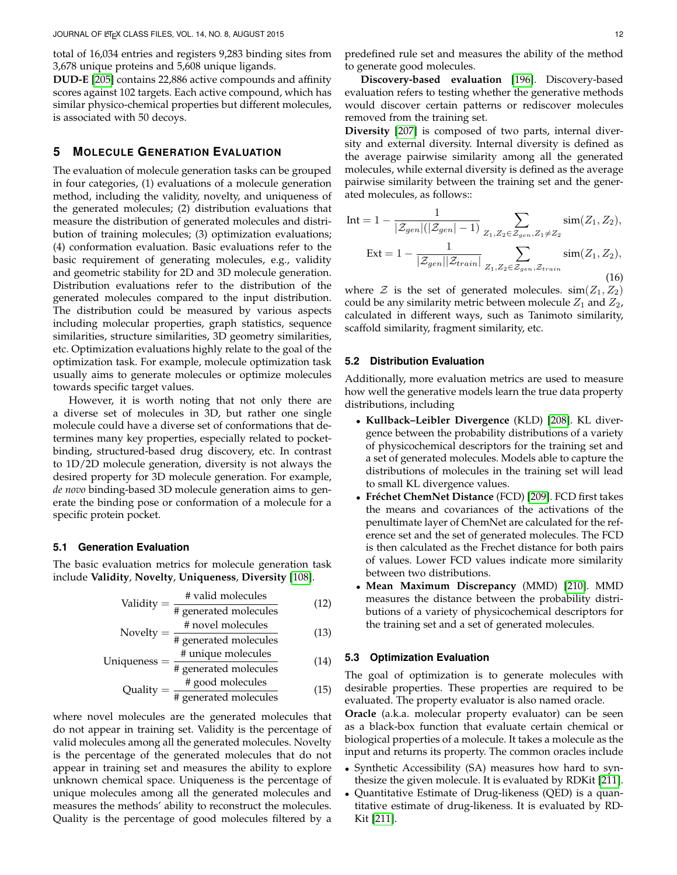total of 16,034 entries and registers 9,283 binding sites from 3,678 unique proteins and 5,608 unique ligands.

**DUD-E** [\[205\]](#page-18-31) contains 22,886 active compounds and affinity scores against 102 targets. Each active compound, which has similar physico-chemical properties but different molecules, is associated with 50 decoys.

## <span id="page-11-0"></span>**5 MOLECULE GENERATION EVALUATION**

The evaluation of molecule generation tasks can be grouped in four categories, (1) evaluations of a molecule generation method, including the validity, novelty, and uniqueness of the generated molecules; (2) distribution evaluations that measure the distribution of generated molecules and distribution of training molecules; (3) optimization evaluations; (4) conformation evaluation. Basic evaluations refer to the basic requirement of generating molecules, e.g., validity and geometric stability for 2D and 3D molecule generation. Distribution evaluations refer to the distribution of the generated molecules compared to the input distribution. The distribution could be measured by various aspects including molecular properties, graph statistics, sequence similarities, structure similarities, 3D geometry similarities, etc. Optimization evaluations highly relate to the goal of the optimization task. For example, molecule optimization task usually aims to generate molecules or optimize molecules towards specific target values.

However, it is worth noting that not only there are a diverse set of molecules in 3D, but rather one single molecule could have a diverse set of conformations that determines many key properties, especially related to pocketbinding, structured-based drug discovery, etc. In contrast to 1D/2D molecule generation, diversity is not always the desired property for 3D molecule generation. For example, *de novo* binding-based 3D molecule generation aims to generate the binding pose or conformation of a molecule for a specific protein pocket.

## **5.1 Generation Evaluation**

The basic evaluation metrics for molecule generation task include **Validity**, **Novelty**, **Uniqueness**, **Diversity** [\[108\]](#page-16-25).

$$
Validity = \frac{\text{\# valid molecules}}{\text{\# generated molecules}} \tag{12}
$$

Novelty = 
$$
\frac{\text{\# novel molecules}}{\text{\# generated molecules}}
$$

\n(13)

Uniqueness = 
$$
\frac{\text{# unique molecules}}{\text{# generated molecules}}
$$
 (14)

$$
Quality = \frac{\text{# good molecules}}{\text{# generated molecules}} \tag{15}
$$

where novel molecules are the generated molecules that do not appear in training set. Validity is the percentage of valid molecules among all the generated molecules. Novelty is the percentage of the generated molecules that do not appear in training set and measures the ability to explore unknown chemical space. Uniqueness is the percentage of unique molecules among all the generated molecules and measures the methods' ability to reconstruct the molecules. Quality is the percentage of good molecules filtered by a

**Discovery-based evaluation** [\[196\]](#page-18-22). Discovery-based evaluation refers to testing whether the generative methods would discover certain patterns or rediscover molecules removed from the training set.

**Diversity** [\[207\]](#page-18-32) is composed of two parts, internal diversity and external diversity. Internal diversity is defined as the average pairwise similarity among all the generated molecules, while external diversity is defined as the average pairwise similarity between the training set and the generated molecules, as follows::

Int = 
$$
1 - \frac{1}{|\mathcal{Z}_{gen}|(|\mathcal{Z}_{gen}|-1)} \sum_{Z_1, Z_2 \in \mathcal{Z}_{gen}, Z_1 \neq Z_2} \text{sim}(Z_1, Z_2),
$$
  
\nExt =  $1 - \frac{1}{|\mathcal{Z}_{gen}||\mathcal{Z}_{train}|} \sum_{Z_1, Z_2 \in \mathcal{Z}_{gen}, \mathcal{Z}_{train}} \text{sim}(Z_1, Z_2),$  (16)

where  $\mathcal Z$  is the set of generated molecules.  $\text{sim}(Z_1, Z_2)$ could be any similarity metric between molecule  $Z_1$  and  $Z_2$ , calculated in different ways, such as Tanimoto similarity, scaffold similarity, fragment similarity, etc.

#### **5.2 Distribution Evaluation**

Additionally, more evaluation metrics are used to measure how well the generative models learn the true data property distributions, including

- **Kullback–Leibler Divergence** (KLD) [\[208\]](#page-18-33). KL divergence between the probability distributions of a variety of physicochemical descriptors for the training set and a set of generated molecules. Models able to capture the distributions of molecules in the training set will lead to small KL divergence values.
- Fréchet ChemNet Distance (FCD) [\[209\]](#page-18-34). FCD first takes the means and covariances of the activations of the penultimate layer of ChemNet are calculated for the reference set and the set of generated molecules. The FCD is then calculated as the Frechet distance for both pairs of values. Lower FCD values indicate more similarity between two distributions.
- **Mean Maximum Discrepancy** (MMD) [\[210\]](#page-18-35). MMD measures the distance between the probability distributions of a variety of physicochemical descriptors for the training set and a set of generated molecules.

## **5.3 Optimization Evaluation**

The goal of optimization is to generate molecules with desirable properties. These properties are required to be evaluated. The property evaluator is also named oracle.

**Oracle** (a.k.a. molecular property evaluator) can be seen as a black-box function that evaluate certain chemical or biological properties of a molecule. It takes a molecule as the input and returns its property. The common oracles include

- Synthetic Accessibility (SA) measures how hard to synthesize the given molecule. It is evaluated by RDKit [\[211\]](#page-18-36).
- Quantitative Estimate of Drug-likeness (QED) is a quantitative estimate of drug-likeness. It is evaluated by RD-Kit [\[211\]](#page-18-36).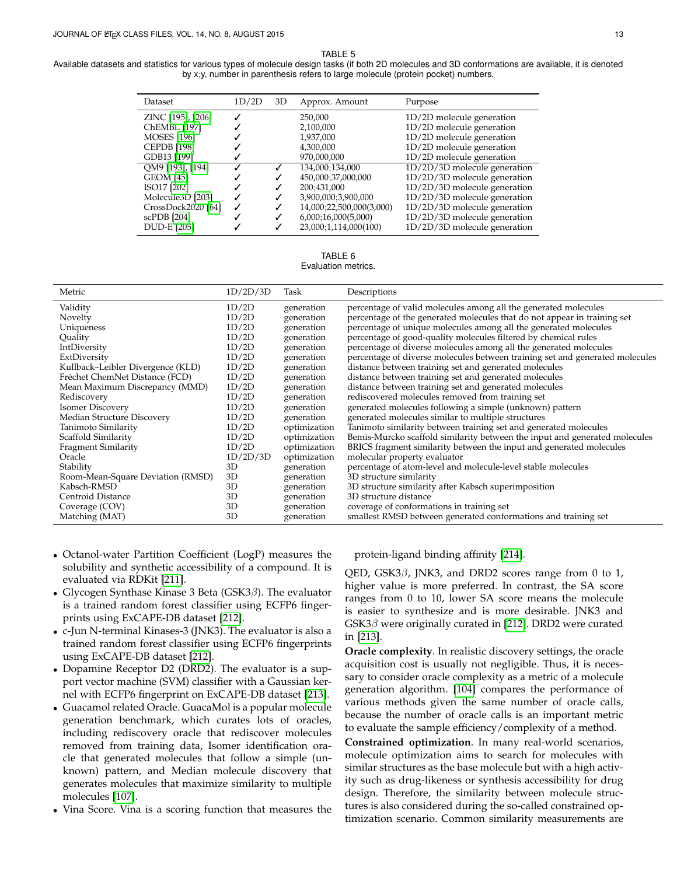TABLE 5

<span id="page-12-0"></span>

| Dataset                                                                                                                            | 1D/2D  | 3D                         | Approx. Amount                                                                                                                                          | Purpose                                                                                                                                                                                                                              |
|------------------------------------------------------------------------------------------------------------------------------------|--------|----------------------------|---------------------------------------------------------------------------------------------------------------------------------------------------------|--------------------------------------------------------------------------------------------------------------------------------------------------------------------------------------------------------------------------------------|
| ZINC [195], [206]<br><b>ChEMBL</b> [197]<br><b>MOSES</b> [196]<br><b>CEPDB</b> [198]<br>GDB13 [199]                                | J      |                            | 250,000<br>2,100,000<br>1,937,000<br>4,300,000<br>970,000,000                                                                                           | 1D/2D molecule generation<br>1D/2D molecule generation<br>1D/2D molecule generation<br>1D/2D molecule generation<br>1D/2D molecule generation                                                                                        |
| QM9 [193], [194]<br><b>GEOM</b> [45]<br>ISO17 [202]<br>Molecule3D [203]<br>CrossDock2020 [64]<br>scPDB [204]<br><b>DUD-E [205]</b> | J<br>✓ | ✓<br>✓<br>✓<br>✓<br>✓<br>✓ | 134,000;134,000<br>450,000;37,000,000<br>200:431,000<br>3,900,000;3,900,000<br>14,000;22,500,000(3,000)<br>6,000;16,000(5,000)<br>23,000;1,114,000(100) | $1D/2D/3D$ molecule generation<br>1D/2D/3D molecule generation<br>$1D/2D/3D$ molecule generation<br>$1D/2D/3D$ molecule generation<br>1D/2D/3D molecule generation<br>$1D/2D/3D$ molecule generation<br>1D/2D/3D molecule generation |

TABLE 6 Evaluation metrics.

| Metric                            | 1D/2D/3D | Task         | Descriptions                                                                 |
|-----------------------------------|----------|--------------|------------------------------------------------------------------------------|
| Validity                          | 1D/2D    | generation   | percentage of valid molecules among all the generated molecules              |
| Novelty                           | 1D/2D    | generation   | percentage of the generated molecules that do not appear in training set     |
| Uniqueness                        | 1D/2D    | generation   | percentage of unique molecules among all the generated molecules             |
| Quality                           | 1D/2D    | generation   | percentage of good-quality molecules filtered by chemical rules              |
| IntDiversity                      | 1D/2D    | generation   | percentage of diverse molecules among all the generated molecules            |
| ExtDiversity                      | 1D/2D    | generation   | percentage of diverse molecules between training set and generated molecules |
| Kullback-Leibler Divergence (KLD) | 1D/2D    | generation   | distance between training set and generated molecules                        |
| Fréchet ChemNet Distance (FCD)    | 1D/2D    | generation   | distance between training set and generated molecules                        |
| Mean Maximum Discrepancy (MMD)    | 1D/2D    | generation   | distance between training set and generated molecules                        |
| Rediscovery                       | 1D/2D    | generation   | rediscovered molecules removed from training set                             |
| <b>Isomer Discovery</b>           | 1D/2D    | generation   | generated molecules following a simple (unknown) pattern                     |
| Median Structure Discovery        | 1D/2D    | generation   | generated molecules similar to multiple structures                           |
| Tanimoto Similarity               | 1D/2D    | optimization | Tanimoto similarity between training set and generated molecules             |
| Scaffold Similarity               | 1D/2D    | optimization | Bemis-Murcko scaffold similarity between the input and generated molecules   |
| <b>Fragment Similarity</b>        | 1D/2D    | optimization | BRICS fragment similarity between the input and generated molecules          |
| Oracle                            | 1D/2D/3D | optimization | molecular property evaluator                                                 |
| Stability                         | 3D       | generation   | percentage of atom-level and molecule-level stable molecules                 |
| Room-Mean-Square Deviation (RMSD) | 3D       | generation   | 3D structure similarity                                                      |
| Kabsch-RMSD                       | 3D       | generation   | 3D structure similarity after Kabsch superimposition                         |
| Centroid Distance                 | 3D       | generation   | 3D structure distance                                                        |
| Coverage (COV)                    | 3D       | generation   | coverage of conformations in training set                                    |
| Matching (MAT)                    | 3D       | generation   | smallest RMSD between generated conformations and training set               |

- Octanol-water Partition Coefficient (LogP) measures the solubility and synthetic accessibility of a compound. It is evaluated via RDKit [\[211\]](#page-18-36).
- Glycogen Synthase Kinase 3 Beta ( $GSK3\beta$ ). The evaluator is a trained random forest classifier using ECFP6 fingerprints using ExCAPE-DB dataset [\[212\]](#page-18-38).
- c-Jun N-terminal Kinases-3 (JNK3). The evaluator is also a trained random forest classifier using ECFP6 fingerprints using ExCAPE-DB dataset [\[212\]](#page-18-38).
- Dopamine Receptor D2 (DRD2). The evaluator is a support vector machine (SVM) classifier with a Gaussian kernel with ECFP6 fingerprint on ExCAPE-DB dataset [\[213\]](#page-18-39).
- Guacamol related Oracle. GuacaMol is a popular molecule generation benchmark, which curates lots of oracles, including rediscovery oracle that rediscover molecules removed from training data, Isomer identification oracle that generated molecules that follow a simple (unknown) pattern, and Median molecule discovery that generates molecules that maximize similarity to multiple molecules [\[107\]](#page-16-24).
- Vina Score. Vina is a scoring function that measures the

protein-ligand binding affinity [\[214\]](#page-18-40).

QED, GSK3 $\beta$ , JNK3, and DRD2 scores range from 0 to 1, higher value is more preferred. In contrast, the SA score ranges from 0 to 10, lower SA score means the molecule is easier to synthesize and is more desirable. JNK3 and  $GSK3\beta$  were originally curated in [\[212\]](#page-18-38). DRD2 were curated in [\[213\]](#page-18-39).

**Oracle complexity**. In realistic discovery settings, the oracle acquisition cost is usually not negligible. Thus, it is necessary to consider oracle complexity as a metric of a molecule generation algorithm. [\[104\]](#page-16-21) compares the performance of various methods given the same number of oracle calls, because the number of oracle calls is an important metric to evaluate the sample efficiency/complexity of a method.

**Constrained optimization**. In many real-world scenarios, molecule optimization aims to search for molecules with similar structures as the base molecule but with a high activity such as drug-likeness or synthesis accessibility for drug design. Therefore, the similarity between molecule structures is also considered during the so-called constrained optimization scenario. Common similarity measurements are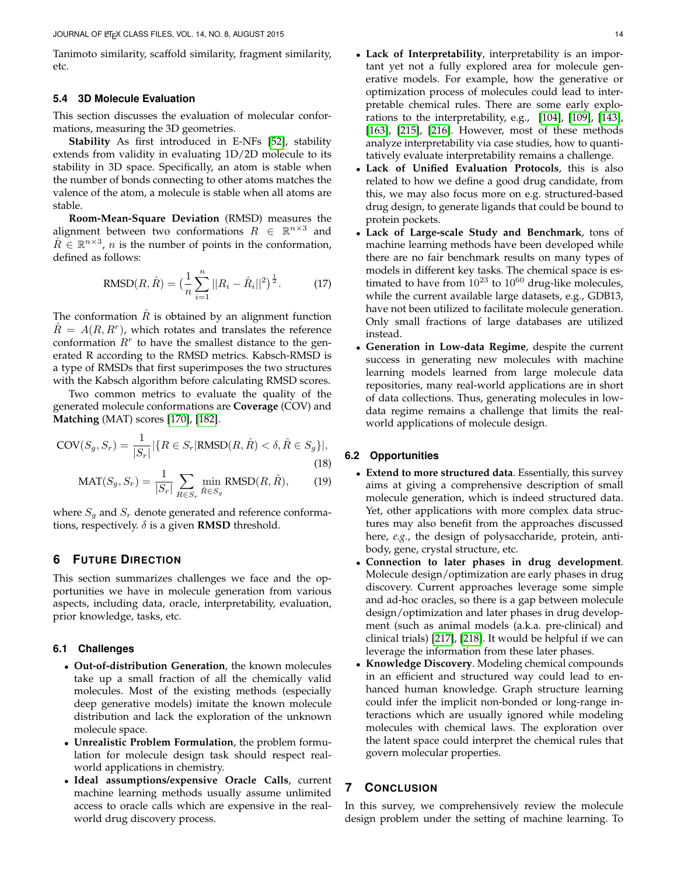Tanimoto similarity, scaffold similarity, fragment similarity, etc.

#### **5.4 3D Molecule Evaluation**

This section discusses the evaluation of molecular conformations, measuring the 3D geometries.

**Stability** As first introduced in E-NFs [\[52\]](#page-15-13), stability extends from validity in evaluating 1D/2D molecule to its stability in 3D space. Specifically, an atom is stable when the number of bonds connecting to other atoms matches the valence of the atom, a molecule is stable when all atoms are stable.

**Room-Mean-Square Deviation** (RMSD) measures the alignment between two conformations  $R \in \mathbb{R}^{n \times 3}$  and  $\hat{R} \in \mathbb{R}^{n \times 3}$ , *n* is the number of points in the conformation, defined as follows:

RMSD
$$
(R, \hat{R}) = \left(\frac{1}{n} \sum_{i=1}^{n} ||R_i - \hat{R}_i||^2\right)^{\frac{1}{2}}.
$$
 (17)

The conformation  $R$  is obtained by an alignment function  $\hat{R} = A(R, R<sup>r</sup>)$ , which rotates and translates the reference conformation  $R<sup>r</sup>$  to have the smallest distance to the generated R according to the RMSD metrics. Kabsch-RMSD is a type of RMSDs that first superimposes the two structures with the Kabsch algorithm before calculating RMSD scores.

Two common metrics to evaluate the quality of the generated molecule conformations are **Coverage** (COV) and **Matching** (MAT) scores [\[170\]](#page-17-39), [\[182\]](#page-18-10).

$$
COV(S_g, S_r) = \frac{1}{|S_r|} |\{R \in S_r | \text{RMSD}(R, \hat{R}) < \delta, \hat{R} \in S_g\}|,\tag{18}
$$

$$
\text{MAT}(S_g, S_r) = \frac{1}{|S_r|} \sum_{R \in S_r} \min_{\hat{R} \in S_g} \text{RMSD}(R, \hat{R}), \tag{19}
$$

where  $S_q$  and  $S_r$  denote generated and reference conformations, respectively.  $\delta$  is a given **RMSD** threshold.

## <span id="page-13-0"></span>**6 FUTURE DIRECTION**

This section summarizes challenges we face and the opportunities we have in molecule generation from various aspects, including data, oracle, interpretability, evaluation, prior knowledge, tasks, etc.

## **6.1 Challenges**

- **Out-of-distribution Generation**, the known molecules take up a small fraction of all the chemically valid molecules. Most of the existing methods (especially deep generative models) imitate the known molecule distribution and lack the exploration of the unknown molecule space.
- **Unrealistic Problem Formulation**, the problem formulation for molecule design task should respect realworld applications in chemistry.
- **Ideal assumptions/expensive Oracle Calls**, current machine learning methods usually assume unlimited access to oracle calls which are expensive in the realworld drug discovery process.
- **Lack of Interpretability**, interpretability is an important yet not a fully explored area for molecule generative models. For example, how the generative or optimization process of molecules could lead to interpretable chemical rules. There are some early explorations to the interpretability, e.g., [\[104\]](#page-16-21), [\[109\]](#page-16-26), [\[143\]](#page-17-13), [\[163\]](#page-17-32), [\[215\]](#page-18-41), [\[216\]](#page-18-42). However, most of these methods analyze interpretability via case studies, how to quantitatively evaluate interpretability remains a challenge.
- **Lack of Unified Evaluation Protocols**, this is also related to how we define a good drug candidate, from this, we may also focus more on e.g. structured-based drug design, to generate ligands that could be bound to protein pockets.
- Lack of Large-scale Study and Benchmark, tons of machine learning methods have been developed while there are no fair benchmark results on many types of models in different key tasks. The chemical space is estimated to have from  $10^{23}$  to  $10^{60}$  drug-like molecules, while the current available large datasets, e.g., GDB13, have not been utilized to facilitate molecule generation. Only small fractions of large databases are utilized instead.
- **Generation in Low-data Regime**, despite the current success in generating new molecules with machine learning models learned from large molecule data repositories, many real-world applications are in short of data collections. Thus, generating molecules in lowdata regime remains a challenge that limits the realworld applications of molecule design.

## **6.2 Opportunities**

- **Extend to more structured data**. Essentially, this survey aims at giving a comprehensive description of small molecule generation, which is indeed structured data. Yet, other applications with more complex data structures may also benefit from the approaches discussed here, *e.g.*, the design of polysaccharide, protein, antibody, gene, crystal structure, etc.
- **Connection to later phases in drug development**. Molecule design/optimization are early phases in drug discovery. Current approaches leverage some simple and ad-hoc oracles, so there is a gap between molecule design/optimization and later phases in drug development (such as animal models (a.k.a. pre-clinical) and clinical trials) [\[217\]](#page-18-43), [\[218\]](#page-18-44). It would be helpful if we can leverage the information from these later phases.
- **Knowledge Discovery**. Modeling chemical compounds in an efficient and structured way could lead to enhanced human knowledge. Graph structure learning could infer the implicit non-bonded or long-range interactions which are usually ignored while modeling molecules with chemical laws. The exploration over the latent space could interpret the chemical rules that govern molecular properties.

## **7 CONCLUSION**

In this survey, we comprehensively review the molecule design problem under the setting of machine learning. To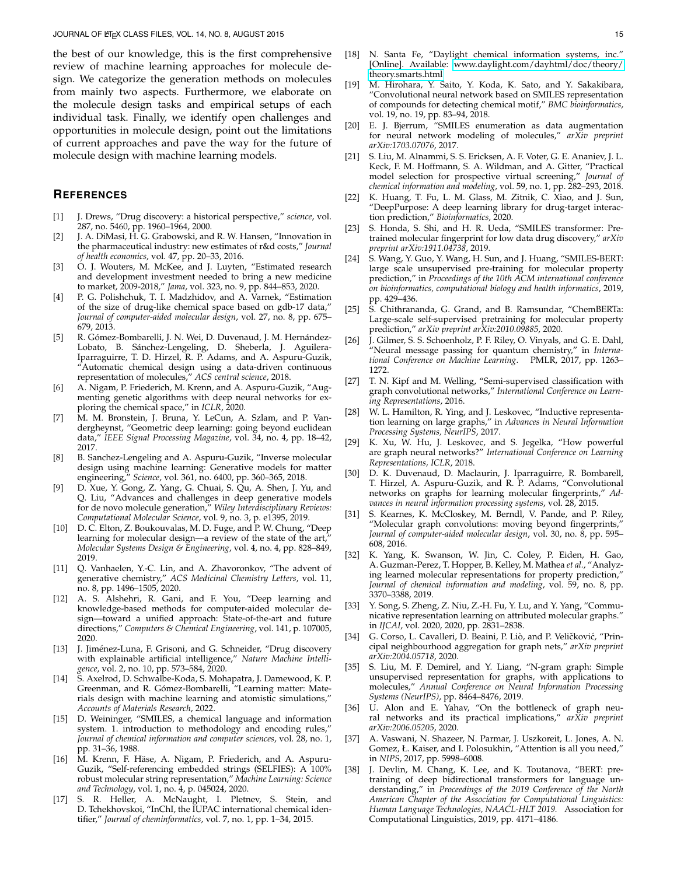the best of our knowledge, this is the first comprehensive review of machine learning approaches for molecule design. We categorize the generation methods on molecules from mainly two aspects. Furthermore, we elaborate on the molecule design tasks and empirical setups of each individual task. Finally, we identify open challenges and opportunities in molecule design, point out the limitations of current approaches and pave the way for the future of molecule design with machine learning models.

## **REFERENCES**

- <span id="page-14-0"></span>[1] J. Drews, "Drug discovery: a historical perspective," *science*, vol. 287, no. 5460, pp. 1960–1964, 2000.
- <span id="page-14-1"></span>[2] J. A. DiMasi, H. G. Grabowski, and R. W. Hansen, "Innovation in the pharmaceutical industry: new estimates of r&d costs," *Journal of health economics*, vol. 47, pp. 20–33, 2016.
- <span id="page-14-2"></span>[3] O. J. Wouters, M. McKee, and J. Luyten, "Estimated research and development investment needed to bring a new medicine to market, 2009-2018," *Jama*, vol. 323, no. 9, pp. 844–853, 2020.
- <span id="page-14-3"></span>[4] P. G. Polishchuk, T. I. Madzhidov, and A. Varnek, "Estimation of the size of drug-like chemical space based on gdb-17 data," *Journal of computer-aided molecular design*, vol. 27, no. 8, pp. 675– 679, 2013.
- <span id="page-14-4"></span>[5] R. Gómez-Bombarelli, J. N. Wei, D. Duvenaud, J. M. Hernández-Lobato, B. Sánchez-Lengeling, D. Sheberla, J. Aguilera-Iparraguirre, T. D. Hirzel, R. P. Adams, and A. Aspuru-Guzik, "Automatic chemical design using a data-driven continuous representation of molecules," *ACS central science*, 2018.
- <span id="page-14-5"></span>[6] A. Nigam, P. Friederich, M. Krenn, and A. Aspuru-Guzik, "Augmenting genetic algorithms with deep neural networks for exploring the chemical space," in *ICLR*, 2020.
- <span id="page-14-6"></span>[7] M. M. Bronstein, J. Bruna, Y. LeCun, A. Szlam, and P. Vandergheynst, "Geometric deep learning: going beyond euclidean data," *IEEE Signal Processing Magazine*, vol. 34, no. 4, pp. 18–42, 2017.
- <span id="page-14-7"></span>[8] B. Sanchez-Lengeling and A. Aspuru-Guzik, "Inverse molecular design using machine learning: Generative models for matter engineering," *Science*, vol. 361, no. 6400, pp. 360–365, 2018.
- <span id="page-14-8"></span>[9] D. Xue, Y. Gong, Z. Yang, G. Chuai, S. Qu, A. Shen, J. Yu, and Q. Liu, "Advances and challenges in deep generative models for de novo molecule generation," *Wiley Interdisciplinary Reviews: Computational Molecular Science*, vol. 9, no. 3, p. e1395, 2019.
- <span id="page-14-9"></span>[10] D. C. Elton, Z. Boukouvalas, M. D. Fuge, and P. W. Chung, "Deep learning for molecular design—a review of the state of the art,' *Molecular Systems Design & Engineering*, vol. 4, no. 4, pp. 828–849, 2019.
- <span id="page-14-10"></span>[11] Q. Vanhaelen, Y.-C. Lin, and A. Zhavoronkov, "The advent of generative chemistry," *ACS Medicinal Chemistry Letters*, vol. 11, no. 8, pp. 1496–1505, 2020.
- <span id="page-14-11"></span>[12] A. S. Alshehri, R. Gani, and F. You, "Deep learning and knowledge-based methods for computer-aided molecular design—toward a unified approach: State-of-the-art and future directions," *Computers & Chemical Engineering*, vol. 141, p. 107005, 2020.
- <span id="page-14-12"></span>[13] J. Jiménez-Luna, F. Grisoni, and G. Schneider, "Drug discovery with explainable artificial intelligence," *Nature Machine Intelligence*, vol. 2, no. 10, pp. 573–584, 2020.
- <span id="page-14-13"></span>[14] S. Axelrod, D. Schwalbe-Koda, S. Mohapatra, J. Damewood, K. P. Greenman, and R. Gómez-Bombarelli, "Learning matter: Materials design with machine learning and atomistic simulations," *Accounts of Materials Research*, 2022.
- <span id="page-14-14"></span>[15] D. Weininger, "SMILES, a chemical language and information system. 1. introduction to methodology and encoding rules, *Journal of chemical information and computer sciences*, vol. 28, no. 1, pp. 31–36, 1988.
- <span id="page-14-15"></span>[16] M. Krenn, F. Häse, A. Nigam, P. Friederich, and A. Aspuru-Guzik, "Self-referencing embedded strings (SELFIES): A 100% robust molecular string representation," *Machine Learning: Science and Technology*, vol. 1, no. 4, p. 045024, 2020.
- <span id="page-14-16"></span>[17] S. R. Heller, A. McNaught, I. Pletnev, S. Stein, and D. Tchekhovskoi, "InChI, the IUPAC international chemical identifier," *Journal of cheminformatics*, vol. 7, no. 1, pp. 1–34, 2015.
- <span id="page-14-17"></span>[18] N. Santa Fe, "Daylight chemical information systems, inc." [Online]. Available: [www.daylight.com/dayhtml/doc/theory/](www.daylight.com/dayhtml/doc/theory/theory.smarts.html) [theory.smarts.html](www.daylight.com/dayhtml/doc/theory/theory.smarts.html)
- <span id="page-14-18"></span>[19] M. Hirohara, Y. Saito, Y. Koda, K. Sato, and Y. Sakakibara, "Convolutional neural network based on SMILES representation of compounds for detecting chemical motif," *BMC bioinformatics*, vol. 19, no. 19, pp. 83–94, 2018.
- <span id="page-14-19"></span>[20] E. J. Bjerrum, "SMILES enumeration as data augmentation for neural network modeling of molecules," *arXiv preprint arXiv:1703.07076*, 2017.
- <span id="page-14-20"></span>[21] S. Liu, M. Alnammi, S. S. Ericksen, A. F. Voter, G. E. Ananiev, J. L. Keck, F. M. Hoffmann, S. A. Wildman, and A. Gitter, "Practical model selection for prospective virtual screening," *Journal of chemical information and modeling*, vol. 59, no. 1, pp. 282–293, 2018.
- <span id="page-14-21"></span>[22] K. Huang, T. Fu, L. M. Glass, M. Zitnik, C. Xiao, and J. Sun, "DeepPurpose: A deep learning library for drug-target interaction prediction," *Bioinformatics*, 2020.
- <span id="page-14-22"></span>[23] S. Honda, S. Shi, and H. R. Ueda, "SMILES transformer: Pretrained molecular fingerprint for low data drug discovery," *arXiv preprint arXiv:1911.04738*, 2019.
- <span id="page-14-23"></span>S. Wang, Y. Guo, Y. Wang, H. Sun, and J. Huang, "SMILES-BERT: large scale unsupervised pre-training for molecular property prediction," in *Proceedings of the 10th ACM international conference on bioinformatics, computational biology and health informatics*, 2019, pp. 429–436.
- <span id="page-14-24"></span>[25] S. Chithrananda, G. Grand, and B. Ramsundar, "ChemBERTa: Large-scale self-supervised pretraining for molecular property prediction," *arXiv preprint arXiv:2010.09885*, 2020.
- <span id="page-14-25"></span>[26] J. Gilmer, S. S. Schoenholz, P. F. Riley, O. Vinyals, and G. E. Dahl, "Neural message passing for quantum chemistry," in *International Conference on Machine Learning*. PMLR, 2017, pp. 1263– 1272.
- <span id="page-14-26"></span>[27] T. N. Kipf and M. Welling, "Semi-supervised classification with graph convolutional networks," *International Conference on Learning Representations*, 2016.
- <span id="page-14-27"></span>[28] W. L. Hamilton, R. Ying, and J. Leskovec, "Inductive representation learning on large graphs," in *Advances in Neural Information Processing Systems, NeurIPS*, 2017.
- <span id="page-14-28"></span>[29] K. Xu, W. Hu, J. Leskovec, and S. Jegelka, "How powerful are graph neural networks?" *International Conference on Learning Representations, ICLR*, 2018.
- <span id="page-14-29"></span>[30] D. K. Duvenaud, D. Maclaurin, J. Iparraguirre, R. Bombarell, T. Hirzel, A. Aspuru-Guzik, and R. P. Adams, "Convolutional networks on graphs for learning molecular fingerprints," *Advances in neural information processing systems*, vol. 28, 2015.
- <span id="page-14-30"></span>[31] S. Kearnes, K. McCloskey, M. Berndl, V. Pande, and P. Riley, "Molecular graph convolutions: moving beyond fingerprints," *Journal of computer-aided molecular design*, vol. 30, no. 8, pp. 595– 608, 2016.
- <span id="page-14-31"></span>[32] K. Yang, K. Swanson, W. Jin, C. Coley, P. Eiden, H. Gao, A. Guzman-Perez, T. Hopper, B. Kelley, M. Mathea *et al.*, "Analyzing learned molecular representations for property prediction," *Journal of chemical information and modeling*, vol. 59, no. 8, pp. 3370–3388, 2019.
- <span id="page-14-32"></span>[33] Y. Song, S. Zheng, Z. Niu, Z.-H. Fu, Y. Lu, and Y. Yang, "Communicative representation learning on attributed molecular graphs." in *IJCAI*, vol. 2020, 2020, pp. 2831–2838.
- <span id="page-14-33"></span>[34] G. Corso, L. Cavalleri, D. Beaini, P. Liò, and P. Veličković, "Principal neighbourhood aggregation for graph nets," *arXiv preprint arXiv:2004.05718*, 2020.
- <span id="page-14-34"></span>[35] S. Liu, M. F. Demirel, and Y. Liang, "N-gram graph: Simple unsupervised representation for graphs, with applications to molecules," *Annual Conference on Neural Information Processing Systems (NeurIPS)*, pp. 8464–8476, 2019.
- <span id="page-14-35"></span>[36] U. Alon and E. Yahav, "On the bottleneck of graph neural networks and its practical implications," *arXiv preprint arXiv:2006.05205*, 2020.
- <span id="page-14-36"></span>[37] A. Vaswani, N. Shazeer, N. Parmar, J. Uszkoreit, L. Jones, A. N. Gomez, Ł. Kaiser, and I. Polosukhin, "Attention is all you need," in *NIPS*, 2017, pp. 5998–6008.
- <span id="page-14-37"></span>[38] J. Devlin, M. Chang, K. Lee, and K. Toutanova, "BERT: pretraining of deep bidirectional transformers for language understanding," in *Proceedings of the 2019 Conference of the North American Chapter of the Association for Computational Linguistics: Human Language Technologies, NAACL-HLT 2019.* Association for Computational Linguistics, 2019, pp. 4171–4186.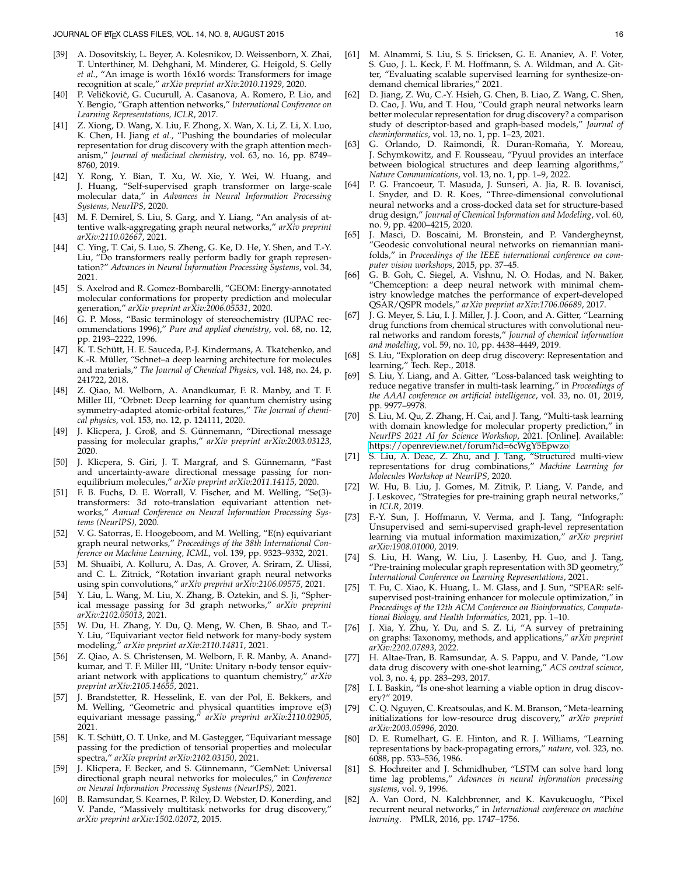- <span id="page-15-0"></span>[39] A. Dosovitskiy, L. Beyer, A. Kolesnikov, D. Weissenborn, X. Zhai, T. Unterthiner, M. Dehghani, M. Minderer, G. Heigold, S. Gelly *et al.*, "An image is worth 16x16 words: Transformers for image recognition at scale," *arXiv preprint arXiv:2010.11929*, 2020.
- <span id="page-15-1"></span>[40] P. Veličković, G. Cucurull, A. Casanova, A. Romero, P. Lio, and Y. Bengio, "Graph attention networks," *International Conference on Learning Representations, ICLR*, 2017.
- <span id="page-15-2"></span>[41] Z. Xiong, D. Wang, X. Liu, F. Zhong, X. Wan, X. Li, Z. Li, X. Luo, K. Chen, H. Jiang et al., "Pushing the boundaries of molecular representation for drug discovery with the graph attention mechanism," *Journal of medicinal chemistry*, vol. 63, no. 16, pp. 8749– 8760, 2019.
- <span id="page-15-3"></span>[42] Y. Rong, Y. Bian, T. Xu, W. Xie, Y. Wei, W. Huang, and J. Huang, "Self-supervised graph transformer on large-scale molecular data," in *Advances in Neural Information Processing Systems, NeurIPS*, 2020.
- <span id="page-15-4"></span>[43] M. F. Demirel, S. Liu, S. Garg, and Y. Liang, "An analysis of attentive walk-aggregating graph neural networks," *arXiv preprint arXiv:2110.02667*, 2021.
- <span id="page-15-5"></span>[44] C. Ying, T. Cai, S. Luo, S. Zheng, G. Ke, D. He, Y. Shen, and T.-Y. Liu, "Do transformers really perform badly for graph representation?" *Advances in Neural Information Processing Systems*, vol. 34, 2021.
- <span id="page-15-6"></span>[45] S. Axelrod and R. Gomez-Bombarelli, "GEOM: Energy-annotated molecular conformations for property prediction and molecular generation," *arXiv preprint arXiv:2006.05531*, 2020.
- <span id="page-15-7"></span>[46] G. P. Moss, "Basic terminology of stereochemistry (IUPAC recommendations 1996)," *Pure and applied chemistry*, vol. 68, no. 12, pp. 2193–2222, 1996.
- <span id="page-15-8"></span>[47] K. T. Schütt, H. E. Sauceda, P.-J. Kindermans, A. Tkatchenko, and K.-R. Müller, "Schnet–a deep learning architecture for molecules and materials," *The Journal of Chemical Physics*, vol. 148, no. 24, p. 241722, 2018.
- <span id="page-15-9"></span>[48] Z. Qiao, M. Welborn, A. Anandkumar, F. R. Manby, and T. F. Miller III, "Orbnet: Deep learning for quantum chemistry using symmetry-adapted atomic-orbital features," *The Journal of chemical physics*, vol. 153, no. 12, p. 124111, 2020.
- <span id="page-15-10"></span>[49] J. Klicpera, J. Groß, and S. Günnemann, "Directional message passing for molecular graphs," *arXiv preprint arXiv:2003.03123*, 2020.
- <span id="page-15-11"></span>[50] J. Klicpera, S. Giri, J. T. Margraf, and S. Günnemann, "Fast and uncertainty-aware directional message passing for nonequilibrium molecules," *arXiv preprint arXiv:2011.14115*, 2020.
- <span id="page-15-12"></span>[51] F. B. Fuchs, D. E. Worrall, V. Fischer, and M. Welling, "Se(3) transformers: 3d roto-translation equivariant attention networks," *Annual Conference on Neural Information Processing Systems (NeurIPS)*, 2020.
- <span id="page-15-13"></span>V. G. Satorras, E. Hoogeboom, and M. Welling, "E(n) equivariant graph neural networks," *Proceedings of the 38th International Conference on Machine Learning, ICML*, vol. 139, pp. 9323–9332, 2021.
- <span id="page-15-14"></span>[53] M. Shuaibi, A. Kolluru, A. Das, A. Grover, A. Sriram, Z. Ulissi, and C. L. Zitnick, "Rotation invariant graph neural networks using spin convolutions," *arXiv preprint arXiv:2106.09575*, 2021.
- <span id="page-15-15"></span>[54] Y. Liu, L. Wang, M. Liu, X. Zhang, B. Oztekin, and S. Ji, "Spherical message passing for 3d graph networks," *arXiv preprint arXiv:2102.05013*, 2021.
- <span id="page-15-16"></span>[55] W. Du, H. Zhang, Y. Du, Q. Meng, W. Chen, B. Shao, and T.- Y. Liu, "Equivariant vector field network for many-body system modeling," *arXiv preprint arXiv:2110.14811*, 2021.
- <span id="page-15-17"></span>[56] Z. Qiao, A. S. Christensen, M. Welborn, F. R. Manby, A. Anandkumar, and T. F. Miller III, "Unite: Unitary n-body tensor equivariant network with applications to quantum chemistry," *arXiv preprint arXiv:2105.14655*, 2021.
- <span id="page-15-18"></span>[57] J. Brandstetter, R. Hesselink, E. van der Pol, E. Bekkers, and M. Welling, "Geometric and physical quantities improve e(3) equivariant message passing," *arXiv preprint arXiv:2110.02905*, 2021.
- <span id="page-15-19"></span>[58] K. T. Schütt, O. T. Unke, and M. Gastegger, "Equivariant message passing for the prediction of tensorial properties and molecular spectra," *arXiv preprint arXiv:2102.03150*, 2021.
- <span id="page-15-20"></span>[59] J. Klicpera, F. Becker, and S. Günnemann, "GemNet: Universal directional graph neural networks for molecules," in *Conference on Neural Information Processing Systems (NeurIPS)*, 2021.
- <span id="page-15-21"></span>[60] B. Ramsundar, S. Kearnes, P. Riley, D. Webster, D. Konerding, and V. Pande, "Massively multitask networks for drug discovery," *arXiv preprint arXiv:1502.02072*, 2015.
- <span id="page-15-22"></span>[61] M. Alnammi, S. Liu, S. S. Ericksen, G. E. Ananiev, A. F. Voter, S. Guo, J. L. Keck, F. M. Hoffmann, S. A. Wildman, and A. Gitter, "Evaluating scalable supervised learning for synthesize-ondemand chemical libraries," 2021.
- <span id="page-15-23"></span>[62] D. Jiang, Z. Wu, C.-Y. Hsieh, G. Chen, B. Liao, Z. Wang, C. Shen, D. Cao, J. Wu, and T. Hou, "Could graph neural networks learn better molecular representation for drug discovery? a comparison study of descriptor-based and graph-based models," *Journal of cheminformatics*, vol. 13, no. 1, pp. 1–23, 2021.
- <span id="page-15-24"></span>[63] G. Orlando, D. Raimondi, R. Duran-Romaña, Y. Moreau, J. Schymkowitz, and F. Rousseau, "Pyuul provides an interface between biological structures and deep learning algorithms," *Nature Communications*, vol. 13, no. 1, pp. 1–9, 2022.
- <span id="page-15-25"></span>[64] P. G. Francoeur, T. Masuda, J. Sunseri, A. Jia, R. B. Iovanisci, I. Snyder, and D. R. Koes, "Three-dimensional convolutional neural networks and a cross-docked data set for structure-based drug design," *Journal of Chemical Information and Modeling*, vol. 60, no. 9, pp. 4200–4215, 2020.
- <span id="page-15-26"></span>[65] J. Masci, D. Boscaini, M. Bronstein, and P. Vandergheynst, "Geodesic convolutional neural networks on riemannian manifolds," in *Proceedings of the IEEE international conference on computer vision workshops*, 2015, pp. 37–45.
- <span id="page-15-27"></span>[66] G. B. Goh, C. Siegel, A. Vishnu, N. O. Hodas, and N. Baker, "Chemception: a deep neural network with minimal chemistry knowledge matches the performance of expert-developed QSAR/QSPR models," *arXiv preprint arXiv:1706.06689*, 2017.
- <span id="page-15-28"></span>[67] J. G. Meyer, S. Liu, I. J. Miller, J. J. Coon, and A. Gitter, "Learning drug functions from chemical structures with convolutional neural networks and random forests," *Journal of chemical information and modeling*, vol. 59, no. 10, pp. 4438–4449, 2019.
- <span id="page-15-29"></span>[68] S. Liu, "Exploration on deep drug discovery: Representation and learning," Tech. Rep., 2018.
- <span id="page-15-30"></span>[69] S. Liu, Y. Liang, and A. Gitter, "Loss-balanced task weighting to reduce negative transfer in multi-task learning," in *Proceedings of the AAAI conference on artificial intelligence*, vol. 33, no. 01, 2019, pp. 9977–9978.
- <span id="page-15-31"></span>[70] S. Liu, M. Qu, Z. Zhang, H. Cai, and J. Tang, "Multi-task learning with domain knowledge for molecular property prediction," in *NeurIPS 2021 AI for Science Workshop*, 2021. [Online]. Available: <https://openreview.net/forum?id=6cWgY5Epwzo>
- <span id="page-15-32"></span>[71] S. Liu, A. Deac, Z. Zhu, and J. Tang, "Structured multi-view representations for drug combinations," *Machine Learning for Molecules Workshop at NeurIPS*, 2020.
- <span id="page-15-33"></span>[72] W. Hu, B. Liu, J. Gomes, M. Zitnik, P. Liang, V. Pande, and J. Leskovec, "Strategies for pre-training graph neural networks," in *ICLR*, 2019.
- <span id="page-15-34"></span>[73] F.-Y. Sun, J. Hoffmann, V. Verma, and J. Tang, "Infograph: Unsupervised and semi-supervised graph-level representation learning via mutual information maximization," *arXiv preprint arXiv:1908.01000*, 2019.
- <span id="page-15-35"></span>[74] S. Liu, H. Wang, W. Liu, J. Lasenby, H. Guo, and J. Tang, "Pre-training molecular graph representation with 3D geometry," *International Conference on Learning Representations*, 2021.
- <span id="page-15-36"></span>[75] T. Fu, C. Xiao, K. Huang, L. M. Glass, and J. Sun, "SPEAR: selfsupervised post-training enhancer for molecule optimization," in *Proceedings of the 12th ACM Conference on Bioinformatics, Computational Biology, and Health Informatics*, 2021, pp. 1–10.
- <span id="page-15-37"></span>[76] J. Xia, Y. Zhu, Y. Du, and S. Z. Li, "A survey of pretraining on graphs: Taxonomy, methods, and applications," *arXiv preprint arXiv:2202.07893*, 2022.
- <span id="page-15-38"></span>[77] H. Altae-Tran, B. Ramsundar, A. S. Pappu, and V. Pande, "Low data drug discovery with one-shot learning," *ACS central science*, vol. 3, no. 4, pp. 283–293, 2017.
- <span id="page-15-39"></span>[78] I. I. Baskin, "Is one-shot learning a viable option in drug discovery?" 2019.
- <span id="page-15-40"></span>[79] C. Q. Nguyen, C. Kreatsoulas, and K. M. Branson, "Meta-learning initializations for low-resource drug discovery," *arXiv preprint arXiv:2003.05996*, 2020.
- <span id="page-15-41"></span>[80] D. E. Rumelhart, G. E. Hinton, and R. J. Williams, "Learning representations by back-propagating errors," *nature*, vol. 323, no. 6088, pp. 533–536, 1986.
- <span id="page-15-42"></span>[81] S. Hochreiter and J. Schmidhuber, "LSTM can solve hard long time lag problems," *Advances in neural information processing systems*, vol. 9, 1996.
- <span id="page-15-43"></span>[82] A. Van Oord, N. Kalchbrenner, and K. Kavukcuoglu, "Pixel recurrent neural networks," in *International conference on machine learning*. PMLR, 2016, pp. 1747–1756.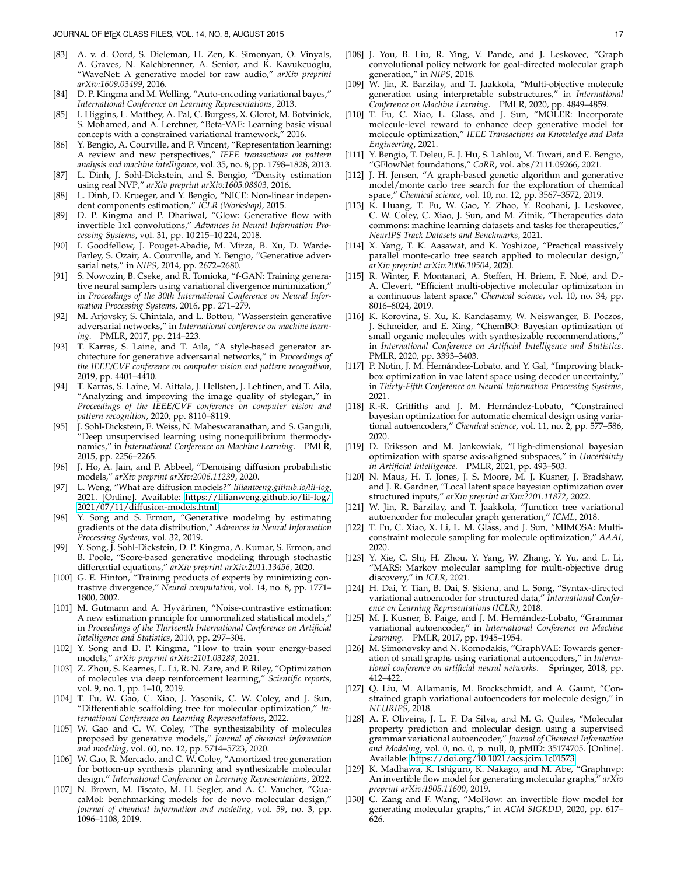- <span id="page-16-0"></span>[83] A. v. d. Oord, S. Dieleman, H. Zen, K. Simonyan, O. Vinyals, A. Graves, N. Kalchbrenner, A. Senior, and K. Kavukcuoglu, "WaveNet: A generative model for raw audio," *arXiv preprint arXiv:1609.03499*, 2016.
- <span id="page-16-1"></span>[84] D. P. Kingma and M. Welling, "Auto-encoding variational bayes," *International Conference on Learning Representations*, 2013.
- <span id="page-16-2"></span>[85] I. Higgins, L. Matthey, A. Pal, C. Burgess, X. Glorot, M. Botvinick, S. Mohamed, and A. Lerchner, "Beta-VAE: Learning basic visual concepts with a constrained variational framework," 2016.
- <span id="page-16-3"></span>[86] Y. Bengio, A. Courville, and P. Vincent, "Representation learning: A review and new perspectives," *IEEE transactions on pattern analysis and machine intelligence*, vol. 35, no. 8, pp. 1798–1828, 2013.
- <span id="page-16-4"></span>[87] L. Dinh, J. Sohl-Dickstein, and S. Bengio, "Density estimation using real NVP," *arXiv preprint arXiv:1605.08803*, 2016.
- <span id="page-16-5"></span>[88] L. Dinh, D. Krueger, and Y. Bengio, "NICE: Non-linear independent components estimation," *ICLR (Workshop)*, 2015.
- <span id="page-16-6"></span>[89] D. P. Kingma and P. Dhariwal, "Glow: Generative flow with invertible 1x1 convolutions," *Advances in Neural Information Processing Systems*, vol. 31, pp. 10 215–10 224, 2018.
- <span id="page-16-7"></span>[90] I. Goodfellow, J. Pouget-Abadie, M. Mirza, B. Xu, D. Warde-Farley, S. Ozair, A. Courville, and Y. Bengio, "Generative adversarial nets," in *NIPS*, 2014, pp. 2672–2680.
- <span id="page-16-8"></span>[91] S. Nowozin, B. Cseke, and R. Tomioka, "f-GAN: Training generative neural samplers using variational divergence minimization," in *Proceedings of the 30th International Conference on Neural Information Processing Systems*, 2016, pp. 271–279.
- <span id="page-16-9"></span>[92] M. Arjovsky, S. Chintala, and L. Bottou, "Wasserstein generative adversarial networks," in *International conference on machine learning*. PMLR, 2017, pp. 214–223.
- <span id="page-16-10"></span>[93] T. Karras, S. Laine, and T. Aila, "A style-based generator architecture for generative adversarial networks," in *Proceedings of the IEEE/CVF conference on computer vision and pattern recognition*, 2019, pp. 4401–4410.
- <span id="page-16-11"></span>[94] T. Karras, S. Laine, M. Aittala, J. Hellsten, J. Lehtinen, and T. Aila, "Analyzing and improving the image quality of stylegan," in *Proceedings of the IEEE/CVF conference on computer vision and pattern recognition*, 2020, pp. 8110–8119.
- <span id="page-16-12"></span>[95] J. Sohl-Dickstein, E. Weiss, N. Maheswaranathan, and S. Ganguli, "Deep unsupervised learning using nonequilibrium thermodynamics," in *International Conference on Machine Learning*. PMLR, 2015, pp. 2256–2265.
- <span id="page-16-13"></span>[96] J. Ho, A. Jain, and P. Abbeel, "Denoising diffusion probabilistic models," *arXiv preprint arXiv:2006.11239*, 2020.
- <span id="page-16-14"></span>[97] L. Weng, "What are diffusion models?" *lilianweng.github.io/lil-log*, 2021. [Online]. Available: [https://lilianweng.github.io/lil-log/](https://lilianweng.github.io/lil-log/2021/07/11/diffusion-models.html) [2021/07/11/diffusion-models.html](https://lilianweng.github.io/lil-log/2021/07/11/diffusion-models.html)
- <span id="page-16-15"></span>[98] Y. Song and S. Ermon, "Generative modeling by estimating gradients of the data distribution," *Advances in Neural Information Processing Systems*, vol. 32, 2019.
- <span id="page-16-16"></span>[99] Y. Song, J. Sohl-Dickstein, D. P. Kingma, A. Kumar, S. Ermon, and B. Poole, "Score-based generative modeling through stochastic differential equations," *arXiv preprint arXiv:2011.13456*, 2020.
- <span id="page-16-17"></span>[100] G. E. Hinton, "Training products of experts by minimizing contrastive divergence," *Neural computation*, vol. 14, no. 8, pp. 1771– 1800, 2002.
- <span id="page-16-18"></span>[101] M. Gutmann and A. Hyvärinen, "Noise-contrastive estimation: A new estimation principle for unnormalized statistical models," in *Proceedings of the Thirteenth International Conference on Artificial Intelligence and Statistics*, 2010, pp. 297–304.
- <span id="page-16-19"></span>[102] Y. Song and D. P. Kingma, "How to train your energy-based models," *arXiv preprint arXiv:2101.03288*, 2021.
- <span id="page-16-20"></span>[103] Z. Zhou, S. Kearnes, L. Li, R. N. Zare, and P. Riley, "Optimization of molecules via deep reinforcement learning," *Scientific reports*, vol. 9, no. 1, pp. 1–10, 2019.
- <span id="page-16-21"></span>[104] T. Fu, W. Gao, C. Xiao, J. Yasonik, C. W. Coley, and J. Sun, "Differentiable scaffolding tree for molecular optimization," *International Conference on Learning Representations*, 2022.
- <span id="page-16-22"></span>[105] W. Gao and C. W. Coley, "The synthesizability of molecules proposed by generative models," *Journal of chemical information and modeling*, vol. 60, no. 12, pp. 5714–5723, 2020.
- <span id="page-16-23"></span>[106] W. Gao, R. Mercado, and C. W. Coley, "Amortized tree generation for bottom-up synthesis planning and synthesizable molecular design," *International Conference on Learning Representations*, 2022.
- <span id="page-16-24"></span>[107] N. Brown, M. Fiscato, M. H. Segler, and A. C. Vaucher, "GuacaMol: benchmarking models for de novo molecular design," *Journal of chemical information and modeling*, vol. 59, no. 3, pp. 1096–1108, 2019.
- <span id="page-16-25"></span>[108] J. You, B. Liu, R. Ying, V. Pande, and J. Leskovec, "Graph convolutional policy network for goal-directed molecular graph generation," in *NIPS*, 2018.
- <span id="page-16-26"></span>[109] W. Jin, R. Barzilay, and T. Jaakkola, "Multi-objective molecule generation using interpretable substructures," in *International Conference on Machine Learning*. PMLR, 2020, pp. 4849–4859.
- <span id="page-16-27"></span>[110] T. Fu, C. Xiao, L. Glass, and J. Sun, "MOLER: Incorporate molecule-level reward to enhance deep generative model for molecule optimization," *IEEE Transactions on Knowledge and Data Engineering*, 2021.
- <span id="page-16-28"></span>[111] Y. Bengio, T. Deleu, E. J. Hu, S. Lahlou, M. Tiwari, and E. Bengio, "GFlowNet foundations," *CoRR*, vol. abs/2111.09266, 2021.
- <span id="page-16-29"></span>[112] J. H. Jensen, "A graph-based genetic algorithm and generative model/monte carlo tree search for the exploration of chemical space," *Chemical science*, vol. 10, no. 12, pp. 3567–3572, 2019.
- <span id="page-16-30"></span>[113] K. Huang, T. Fu, W. Gao, Y. Zhao, Y. Roohani, J. Leskovec, C. W. Coley, C. Xiao, J. Sun, and M. Zitnik, "Therapeutics data commons: machine learning datasets and tasks for therapeutics," *NeurIPS Track Datasets and Benchmarks*, 2021.
- <span id="page-16-31"></span>[114] X. Yang, T. K. Aasawat, and K. Yoshizoe, "Practical massively parallel monte-carlo tree search applied to molecular design, *arXiv preprint arXiv:2006.10504*, 2020.
- <span id="page-16-32"></span>[115] R. Winter, F. Montanari, A. Steffen, H. Briem, F. Noé, and D.-A. Clevert, "Efficient multi-objective molecular optimization in a continuous latent space," *Chemical science*, vol. 10, no. 34, pp. 8016–8024, 2019.
- <span id="page-16-33"></span>[116] K. Korovina, S. Xu, K. Kandasamy, W. Neiswanger, B. Poczos, J. Schneider, and E. Xing, "ChemBO: Bayesian optimization of small organic molecules with synthesizable recommendations," in *International Conference on Artificial Intelligence and Statistics*. PMLR, 2020, pp. 3393–3403.
- <span id="page-16-34"></span>[117] P. Notin, J. M. Hernández-Lobato, and Y. Gal, "Improving blackbox optimization in vae latent space using decoder uncertainty," in *Thirty-Fifth Conference on Neural Information Processing Systems*, 2021.
- <span id="page-16-35"></span>[118] R.-R. Griffiths and J. M. Hernández-Lobato, "Constrained bayesian optimization for automatic chemical design using variational autoencoders," *Chemical science*, vol. 11, no. 2, pp. 577–586, 2020.
- <span id="page-16-36"></span>[119] D. Eriksson and M. Jankowiak, "High-dimensional bayesian optimization with sparse axis-aligned subspaces," in *Uncertainty in Artificial Intelligence*. PMLR, 2021, pp. 493–503.
- <span id="page-16-37"></span>[120] N. Maus, H. T. Jones, J. S. Moore, M. J. Kusner, J. Bradshaw, and J. R. Gardner, "Local latent space bayesian optimization over structured inputs," *arXiv preprint arXiv:2201.11872*, 2022.
- <span id="page-16-38"></span>[121] W. Jin, R. Barzilay, and T. Jaakkola, "Junction tree variational autoencoder for molecular graph generation," *ICML*, 2018.
- <span id="page-16-39"></span>[122] T. Fu, C. Xiao, X. Li, L. M. Glass, and J. Sun, "MIMOSA: Multiconstraint molecule sampling for molecule optimization," *AAAI*, 2020.
- <span id="page-16-40"></span>[123] Y. Xie, C. Shi, H. Zhou, Y. Yang, W. Zhang, Y. Yu, and L. Li, "MARS: Markov molecular sampling for multi-objective drug discovery," in *ICLR*, 2021.
- <span id="page-16-42"></span>[124] H. Dai, Y. Tian, B. Dai, S. Skiena, and L. Song, "Syntax-directed variational autoencoder for structured data," *International Conference on Learning Representations (ICLR)*, 2018.
- <span id="page-16-41"></span>[125] M. J. Kusner, B. Paige, and J. M. Hernández-Lobato, "Grammar variational autoencoder," in *International Conference on Machine Learning*. PMLR, 2017, pp. 1945–1954.
- <span id="page-16-45"></span>[126] M. Simonovsky and N. Komodakis, "GraphVAE: Towards generation of small graphs using variational autoencoders," in *International conference on artificial neural networks*. Springer, 2018, pp. 412–422.
- <span id="page-16-46"></span>[127] Q. Liu, M. Allamanis, M. Brockschmidt, and A. Gaunt, "Constrained graph variational autoencoders for molecule design," in *NEURIPS*, 2018.
- <span id="page-16-47"></span>[128] A. F. Oliveira, J. L. F. Da Silva, and M. G. Quiles, "Molecular property prediction and molecular design using a supervised grammar variational autoencoder," *Journal of Chemical Information and Modeling*, vol. 0, no. 0, p. null, 0, pMID: 35174705. [Online]. Available:<https://doi.org/10.1021/acs.jcim.1c01573>
- <span id="page-16-43"></span>[129] K. Madhawa, K. Ishiguro, K. Nakago, and M. Abe, "Graphnvp: An invertible flow model for generating molecular graphs," *arXiv preprint arXiv:1905.11600*, 2019.
- <span id="page-16-44"></span>[130] C. Zang and F. Wang, "MoFlow: an invertible flow model for generating molecular graphs," in *ACM SIGKDD*, 2020, pp. 617– 626.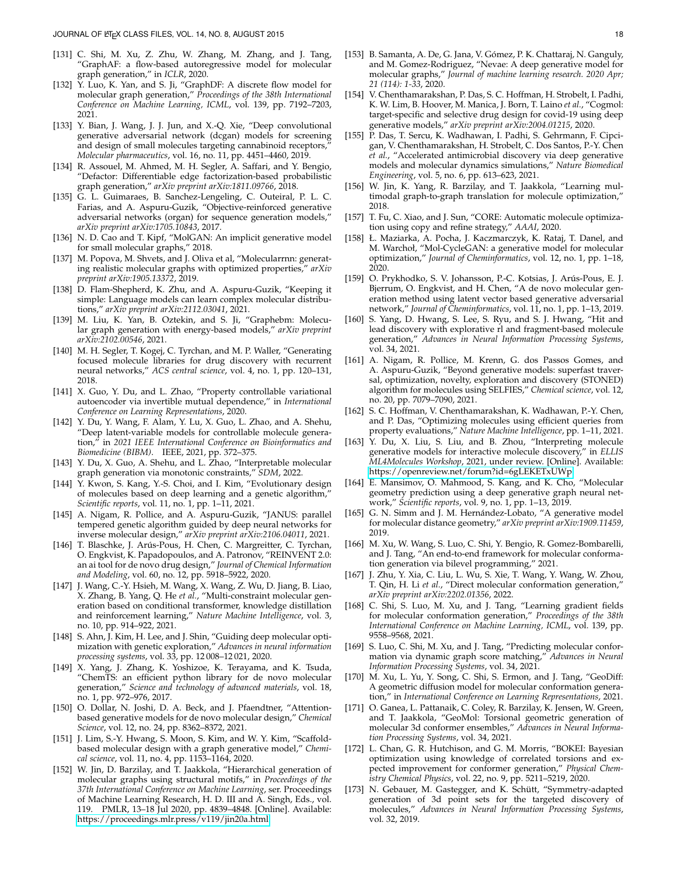- <span id="page-17-0"></span>[131] C. Shi, M. Xu, Z. Zhu, W. Zhang, M. Zhang, and J. Tang, "GraphAF: a flow-based autoregressive model for molecular graph generation," in *ICLR*, 2020.
- <span id="page-17-1"></span>[132] Y. Luo, K. Yan, and S. Ji, "GraphDF: A discrete flow model for molecular graph generation," *Proceedings of the 38th International Conference on Machine Learning, ICML*, vol. 139, pp. 7192–7203, 2021.
- <span id="page-17-4"></span>[133] Y. Bian, J. Wang, J. J. Jun, and X.-Q. Xie, "Deep convolutional generative adversarial network (dcgan) models for screening and design of small molecules targeting cannabinoid receptors, *Molecular pharmaceutics*, vol. 16, no. 11, pp. 4451–4460, 2019.
- <span id="page-17-5"></span>[134] R. Assouel, M. Ahmed, M. H. Segler, A. Saffari, and Y. Bengio, "Defactor: Differentiable edge factorization-based probabilistic graph generation," *arXiv preprint arXiv:1811.09766*, 2018.
- <span id="page-17-6"></span>[135] G. L. Guimaraes, B. Sanchez-Lengeling, C. Outeiral, P. L. C. Farias, and A. Aspuru-Guzik, "Objective-reinforced generative adversarial networks (organ) for sequence generation models," *arXiv preprint arXiv:1705.10843*, 2017.
- <span id="page-17-7"></span>[136] N. D. Cao and T. Kipf, "MolGAN: An implicit generative model for small molecular graphs," 2018.
- <span id="page-17-8"></span>[137] M. Popova, M. Shvets, and J. Oliva et al, "Molecularrnn: generating realistic molecular graphs with optimized properties," *arXiv preprint arXiv:1905.13372*, 2019.
- <span id="page-17-9"></span>[138] D. Flam-Shepherd, K. Zhu, and A. Aspuru-Guzik, "Keeping it simple: Language models can learn complex molecular distributions," *arXiv preprint arXiv:2112.03041*, 2021.
- <span id="page-17-10"></span>[139] M. Liu, K. Yan, B. Oztekin, and S. Ji, "Graphebm: Molecular graph generation with energy-based models," *arXiv preprint arXiv:2102.00546*, 2021.
- <span id="page-17-2"></span>[140] M. H. Segler, T. Kogej, C. Tyrchan, and M. P. Waller, "Generating focused molecule libraries for drug discovery with recurrent neural networks," *ACS central science*, vol. 4, no. 1, pp. 120–131, 2018.
- <span id="page-17-11"></span>[141] X. Guo, Y. Du, and L. Zhao, "Property controllable variational autoencoder via invertible mutual dependence," in *International Conference on Learning Representations*, 2020.
- <span id="page-17-12"></span>[142] Y. Du, Y. Wang, F. Alam, Y. Lu, X. Guo, L. Zhao, and A. Shehu, "Deep latent-variable models for controllable molecule generation," in *2021 IEEE International Conference on Bioinformatics and Biomedicine (BIBM)*. IEEE, 2021, pp. 372–375.
- <span id="page-17-13"></span>[143] Y. Du, X. Guo, A. Shehu, and L. Zhao, "Interpretable molecular graph generation via monotonic constraints," *SDM*, 2022.
- <span id="page-17-14"></span>[144] Y. Kwon, S. Kang, Y.-S. Choi, and I. Kim, "Evolutionary design of molecules based on deep learning and a genetic algorithm," *Scientific reports*, vol. 11, no. 1, pp. 1–11, 2021.
- <span id="page-17-15"></span>[145] A. Nigam, R. Pollice, and A. Aspuru-Guzik, "JANUS: parallel tempered genetic algorithm guided by deep neural networks for inverse molecular design," *arXiv preprint arXiv:2106.04011*, 2021.
- <span id="page-17-16"></span>[146] T. Blaschke, J. Arús-Pous, H. Chen, C. Margreitter, C. Tyrchan, O. Engkvist, K. Papadopoulos, and A. Patronov, "REINVENT 2.0: an ai tool for de novo drug design," *Journal of Chemical Information and Modeling*, vol. 60, no. 12, pp. 5918–5922, 2020.
- <span id="page-17-17"></span>[147] J. Wang, C.-Y. Hsieh, M. Wang, X. Wang, Z. Wu, D. Jiang, B. Liao, X. Zhang, B. Yang, Q. He *et al.*, "Multi-constraint molecular generation based on conditional transformer, knowledge distillation and reinforcement learning," *Nature Machine Intelligence*, vol. 3, no. 10, pp. 914–922, 2021.
- <span id="page-17-3"></span>[148] S. Ahn, J. Kim, H. Lee, and J. Shin, "Guiding deep molecular optimization with genetic exploration," *Advances in neural information processing systems*, vol. 33, pp. 12 008–12 021, 2020.
- <span id="page-17-18"></span>[149] X. Yang, J. Zhang, K. Yoshizoe, K. Terayama, and K. Tsuda, "ChemTS: an efficient python library for de novo molecular generation," *Science and technology of advanced materials*, vol. 18, no. 1, pp. 972–976, 2017.
- <span id="page-17-19"></span>[150] O. Dollar, N. Joshi, D. A. Beck, and J. Pfaendtner, "Attentionbased generative models for de novo molecular design," *Chemical Science*, vol. 12, no. 24, pp. 8362–8372, 2021.
- <span id="page-17-20"></span>[151] J. Lim, S.-Y. Hwang, S. Moon, S. Kim, and W. Y. Kim, "Scaffoldbased molecular design with a graph generative model," *Chemical science*, vol. 11, no. 4, pp. 1153–1164, 2020.
- <span id="page-17-21"></span>[152] W. Jin, D. Barzilay, and T. Jaakkola, "Hierarchical generation of molecular graphs using structural motifs," in *Proceedings of the 37th International Conference on Machine Learning*, ser. Proceedings of Machine Learning Research, H. D. III and A. Singh, Eds., vol. 119. PMLR, 13–18 Jul 2020, pp. 4839–4848. [Online]. Available: <https://proceedings.mlr.press/v119/jin20a.html>
- <span id="page-17-22"></span>[153] B. Samanta, A. De, G. Jana, V. Gómez, P. K. Chattaraj, N. Ganguly, and M. Gomez-Rodriguez, "Nevae: A deep generative model for molecular graphs," *Journal of machine learning research. 2020 Apr; 21 (114): 1-33*, 2020.
- <span id="page-17-23"></span>[154] V. Chenthamarakshan, P. Das, S. C. Hoffman, H. Strobelt, I. Padhi, K. W. Lim, B. Hoover, M. Manica, J. Born, T. Laino *et al.*, "Cogmol: target-specific and selective drug design for covid-19 using deep generative models," *arXiv preprint arXiv:2004.01215*, 2020.
- <span id="page-17-24"></span>[155] P. Das, T. Sercu, K. Wadhawan, I. Padhi, S. Gehrmann, F. Cipcigan, V. Chenthamarakshan, H. Strobelt, C. Dos Santos, P.-Y. Chen *et al.*, "Accelerated antimicrobial discovery via deep generative models and molecular dynamics simulations," *Nature Biomedical Engineering*, vol. 5, no. 6, pp. 613–623, 2021.
- <span id="page-17-25"></span>[156] W. Jin, K. Yang, R. Barzilay, and T. Jaakkola, "Learning multimodal graph-to-graph translation for molecule optimization," 2018.
- <span id="page-17-26"></span>[157] T. Fu, C. Xiao, and J. Sun, "CORE: Automatic molecule optimization using copy and refine strategy," *AAAI*, 2020.
- <span id="page-17-27"></span>Ł. Maziarka, A. Pocha, J. Kaczmarczyk, K. Rataj, T. Danel, and M. Warchoł, "Mol-CycleGAN: a generative model for molecular optimization," *Journal of Cheminformatics*, vol. 12, no. 1, pp. 1–18, 2020.
- <span id="page-17-28"></span>[159] O. Prykhodko, S. V. Johansson, P.-C. Kotsias, J. Arús-Pous, E. J. Bjerrum, O. Engkvist, and H. Chen, "A de novo molecular generation method using latent vector based generative adversarial network," *Journal of Cheminformatics*, vol. 11, no. 1, pp. 1–13, 2019.
- <span id="page-17-29"></span>[160] S. Yang, D. Hwang, S. Lee, S. Ryu, and S. J. Hwang, "Hit and lead discovery with explorative rl and fragment-based molecule generation," *Advances in Neural Information Processing Systems*, vol. 34, 2021.
- <span id="page-17-30"></span>[161] A. Nigam, R. Pollice, M. Krenn, G. dos Passos Gomes, and A. Aspuru-Guzik, "Beyond generative models: superfast traversal, optimization, novelty, exploration and discovery (STONED) algorithm for molecules using SELFIES," *Chemical science*, vol. 12, no. 20, pp. 7079–7090, 2021.
- <span id="page-17-31"></span>[162] S. C. Hoffman, V. Chenthamarakshan, K. Wadhawan, P.-Y. Chen, and P. Das, "Optimizing molecules using efficient queries from property evaluations," *Nature Machine Intelligence*, pp. 1–11, 2021.
- <span id="page-17-32"></span>[163] Y. Du, X. Liu, S. Liu, and B. Zhou, "Interpreting molecule generative models for interactive molecule discovery," in *ELLIS ML4Molecules Workshop*, 2021, under review. [Online]. Available: <https://openreview.net/forum?id=6gLEKETxUWp>
- <span id="page-17-33"></span>[164] E. Mansimov, O. Mahmood, S. Kang, and K. Cho, "Molecular geometry prediction using a deep generative graph neural network," *Scientific reports*, vol. 9, no. 1, pp. 1–13, 2019.
- <span id="page-17-34"></span>[165] G. N. Simm and J. M. Hernández-Lobato, "A generative model for molecular distance geometry," *arXiv preprint arXiv:1909.11459*, 2019.
- <span id="page-17-35"></span>[166] M. Xu, W. Wang, S. Luo, C. Shi, Y. Bengio, R. Gomez-Bombarelli, and J. Tang, "An end-to-end framework for molecular conformation generation via bilevel programming," 2021.
- <span id="page-17-36"></span>[167] J. Zhu, Y. Xia, C. Liu, L. Wu, S. Xie, T. Wang, Y. Wang, W. Zhou, T. Qin, H. Li *et al.*, "Direct molecular conformation generation," *arXiv preprint arXiv:2202.01356*, 2022.
- <span id="page-17-37"></span>[168] C. Shi, S. Luo, M. Xu, and J. Tang, "Learning gradient fields for molecular conformation generation," *Proceedings of the 38th International Conference on Machine Learning, ICML*, vol. 139, pp. 9558–9568, 2021.
- <span id="page-17-38"></span>[169] S. Luo, C. Shi, M. Xu, and J. Tang, "Predicting molecular conformation via dynamic graph score matching," *Advances in Neural Information Processing Systems*, vol. 34, 2021.
- <span id="page-17-39"></span>[170] M. Xu, L. Yu, Y. Song, C. Shi, S. Ermon, and J. Tang, "GeoDiff: A geometric diffusion model for molecular conformation generation," in *International Conference on Learning Representations*, 2021.
- <span id="page-17-40"></span>[171] O. Ganea, L. Pattanaik, C. Coley, R. Barzilay, K. Jensen, W. Green, and T. Jaakkola, "GeoMol: Torsional geometric generation of molecular 3d conformer ensembles," *Advances in Neural Information Processing Systems*, vol. 34, 2021.
- <span id="page-17-41"></span>[172] L. Chan, G. R. Hutchison, and G. M. Morris, "BOKEI: Bayesian optimization using knowledge of correlated torsions and expected improvement for conformer generation," *Physical Chemistry Chemical Physics*, vol. 22, no. 9, pp. 5211–5219, 2020.
- <span id="page-17-42"></span>[173] N. Gebauer, M. Gastegger, and K. Schütt, "Symmetry-adapted generation of 3d point sets for the targeted discovery of molecules," *Advances in Neural Information Processing Systems*, vol. 32, 2019.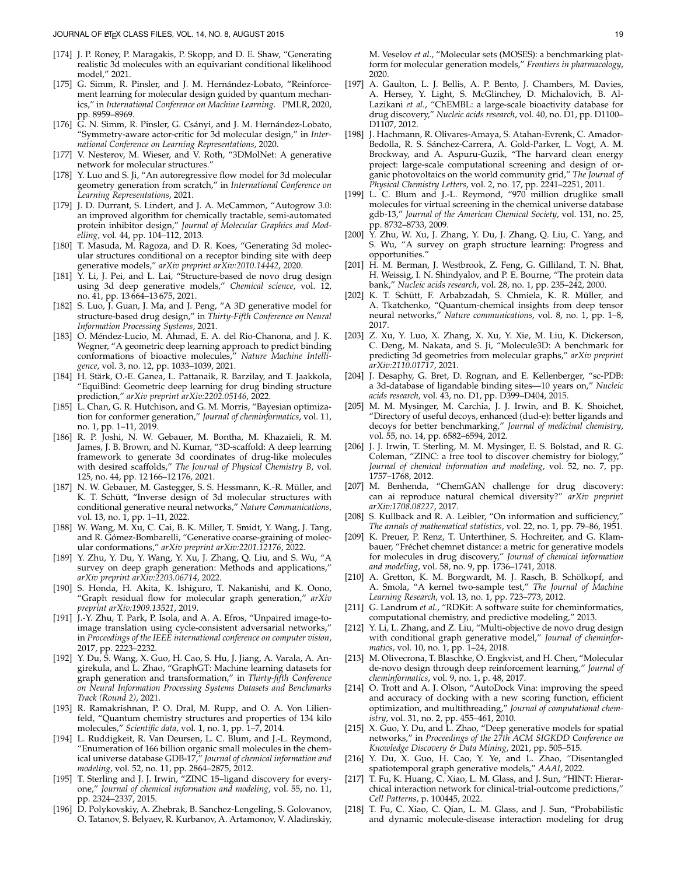- <span id="page-18-2"></span>[174] J. P. Roney, P. Maragakis, P. Skopp, and D. E. Shaw, "Generating realistic 3d molecules with an equivariant conditional likelihood model," 2021.
- <span id="page-18-3"></span>[175] G. Simm, R. Pinsler, and J. M. Hernández-Lobato, "Reinforcement learning for molecular design guided by quantum mechanics," in *International Conference on Machine Learning*. PMLR, 2020, pp. 8959–8969.
- <span id="page-18-4"></span>[176] G. N. Simm, R. Pinsler, G. Csányi, and J. M. Hernández-Lobato, "Symmetry-aware actor-critic for 3d molecular design," in *International Conference on Learning Representations*, 2020.
- <span id="page-18-5"></span>[177] V. Nesterov, M. Wieser, and V. Roth, "3DMolNet: A generative network for molecular structures."
- <span id="page-18-6"></span>[178] Y. Luo and S. Ji, "An autoregressive flow model for 3d molecular geometry generation from scratch," in *International Conference on Learning Representations*, 2021.
- <span id="page-18-7"></span>[179] J. D. Durrant, S. Lindert, and J. A. McCammon, "Autogrow 3.0: an improved algorithm for chemically tractable, semi-automated protein inhibitor design," *Journal of Molecular Graphics and Modelling*, vol. 44, pp. 104–112, 2013.
- <span id="page-18-8"></span>[180] T. Masuda, M. Ragoza, and D. R. Koes, "Generating 3d molecular structures conditional on a receptor binding site with deep generative models," *arXiv preprint arXiv:2010.14442*, 2020.
- <span id="page-18-9"></span>[181] Y. Li, J. Pei, and L. Lai, "Structure-based de novo drug design using 3d deep generative models," *Chemical science*, vol. 12, no. 41, pp. 13 664–13 675, 2021.
- <span id="page-18-10"></span>[182] S. Luo, J. Guan, J. Ma, and J. Peng, "A 3D generative model for structure-based drug design," in *Thirty-Fifth Conference on Neural Information Processing Systems*, 2021.
- <span id="page-18-11"></span>[183] O. Méndez-Lucio, M. Ahmad, E. A. del Rio-Chanona, and J. K. Wegner, "A geometric deep learning approach to predict binding conformations of bioactive molecules," *Nature Machine Intelligence*, vol. 3, no. 12, pp. 1033–1039, 2021.
- <span id="page-18-12"></span>[184] H. Stärk, O.-E. Ganea, L. Pattanaik, R. Barzilay, and T. Jaakkola, "EquiBind: Geometric deep learning for drug binding structure prediction," *arXiv preprint arXiv:2202.05146*, 2022.
- <span id="page-18-13"></span>[185] L. Chan, G. R. Hutchison, and G. M. Morris, "Bayesian optimization for conformer generation," *Journal of cheminformatics*, vol. 11, no. 1, pp. 1–11, 2019.
- <span id="page-18-14"></span>[186] R. P. Joshi, N. W. Gebauer, M. Bontha, M. Khazaieli, R. M. James, J. B. Brown, and N. Kumar, "3D-scaffold: A deep learning framework to generate 3d coordinates of drug-like molecules with desired scaffolds," *The Journal of Physical Chemistry B*, vol. 125, no. 44, pp. 12 166–12 176, 2021.
- <span id="page-18-15"></span>[187] N. W. Gebauer, M. Gastegger, S. S. Hessmann, K.-R. Müller, and K. T. Schütt, "Inverse design of 3d molecular structures with conditional generative neural networks," *Nature Communications*, vol. 13, no. 1, pp. 1–11, 2022.
- <span id="page-18-16"></span>[188] W. Wang, M. Xu, C. Cai, B. K. Miller, T. Smidt, Y. Wang, J. Tang, and R. Gómez-Bombarelli, "Generative coarse-graining of molecular conformations," *arXiv preprint arXiv:2201.12176*, 2022.
- <span id="page-18-0"></span>[189] Y. Zhu, Y. Du, Y. Wang, Y. Xu, J. Zhang, Q. Liu, and S. Wu, "A survey on deep graph generation: Methods and applications," *arXiv preprint arXiv:2203.06714*, 2022.
- <span id="page-18-1"></span>[190] S. Honda, H. Akita, K. Ishiguro, T. Nakanishi, and K. Oono, "Graph residual flow for molecular graph generation," *arXiv preprint arXiv:1909.13521*, 2019.
- <span id="page-18-17"></span>[191] J.-Y. Zhu, T. Park, P. Isola, and A. A. Efros, "Unpaired image-toimage translation using cycle-consistent adversarial networks," in *Proceedings of the IEEE international conference on computer vision*, 2017, pp. 2223–2232.
- <span id="page-18-18"></span>[192] Y. Du, S. Wang, X. Guo, H. Cao, S. Hu, J. Jiang, A. Varala, A. Angirekula, and L. Zhao, "GraphGT: Machine learning datasets for graph generation and transformation," in *Thirty-fifth Conference on Neural Information Processing Systems Datasets and Benchmarks Track (Round 2)*, 2021.
- <span id="page-18-19"></span>[193] R. Ramakrishnan, P. O. Dral, M. Rupp, and O. A. Von Lilienfeld, "Quantum chemistry structures and properties of 134 kilo molecules," *Scientific data*, vol. 1, no. 1, pp. 1–7, 2014.
- <span id="page-18-20"></span>[194] L. Ruddigkeit, R. Van Deursen, L. C. Blum, and J.-L. Reymond, "Enumeration of 166 billion organic small molecules in the chemical universe database GDB-17," *Journal of chemical information and modeling*, vol. 52, no. 11, pp. 2864–2875, 2012.
- <span id="page-18-21"></span>[195] T. Sterling and J. J. Irwin, "ZINC 15-ligand discovery for everyone," *Journal of chemical information and modeling*, vol. 55, no. 11, pp. 2324–2337, 2015.
- <span id="page-18-22"></span>[196] D. Polykovskiy, A. Zhebrak, B. Sanchez-Lengeling, S. Golovanov, O. Tatanov, S. Belyaev, R. Kurbanov, A. Artamonov, V. Aladinskiy,

M. Veselov *et al.*, "Molecular sets (MOSES): a benchmarking platform for molecular generation models," *Frontiers in pharmacology*, 2020.

- <span id="page-18-23"></span>[197] A. Gaulton, L. J. Bellis, A. P. Bento, J. Chambers, M. Davies, A. Hersey, Y. Light, S. McGlinchey, D. Michalovich, B. Al-Lazikani *et al.*, "ChEMBL: a large-scale bioactivity database for drug discovery," Nucleic acids research, vol. 40, no. D1, pp. D1100-D1107, 2012.
- <span id="page-18-24"></span>[198] J. Hachmann, R. Olivares-Amaya, S. Atahan-Evrenk, C. Amador-Bedolla, R. S. Sánchez-Carrera, A. Gold-Parker, L. Vogt, A. M. Brockway, and A. Aspuru-Guzik, "The harvard clean energy project: large-scale computational screening and design of organic photovoltaics on the world community grid," *The Journal of Physical Chemistry Letters*, vol. 2, no. 17, pp. 2241–2251, 2011.
- <span id="page-18-25"></span>[199] L. C. Blum and J.-L. Reymond, "970 million druglike small molecules for virtual screening in the chemical universe database gdb-13," *Journal of the American Chemical Society*, vol. 131, no. 25, pp. 8732–8733, 2009.
- <span id="page-18-26"></span>[200] Y. Zhu, W. Xu, J. Zhang, Y. Du, J. Zhang, Q. Liu, C. Yang, and S. Wu, "A survey on graph structure learning: Progress and opportunities."
- <span id="page-18-27"></span>[201] H. M. Berman, J. Westbrook, Z. Feng, G. Gilliland, T. N. Bhat, H. Weissig, I. N. Shindyalov, and P. E. Bourne, "The protein data bank," *Nucleic acids research*, vol. 28, no. 1, pp. 235–242, 2000.
- <span id="page-18-28"></span>[202] K. T. Schütt, F. Arbabzadah, S. Chmiela, K. R. Müller, and A. Tkatchenko, "Quantum-chemical insights from deep tensor neural networks," *Nature communications*, vol. 8, no. 1, pp. 1–8, 2017.
- <span id="page-18-29"></span>[203] Z. Xu, Y. Luo, X. Zhang, X. Xu, Y. Xie, M. Liu, K. Dickerson, C. Deng, M. Nakata, and S. Ji, "Molecule3D: A benchmark for predicting 3d geometries from molecular graphs," *arXiv preprint arXiv:2110.01717*, 2021.
- <span id="page-18-30"></span>[204] J. Desaphy, G. Bret, D. Rognan, and E. Kellenberger, "sc-PDB: a 3d-database of ligandable binding sites—10 years on," *Nucleic acids research*, vol. 43, no. D1, pp. D399–D404, 2015.
- <span id="page-18-31"></span>[205] M. M. Mysinger, M. Carchia, J. J. Irwin, and B. K. Shoichet, "Directory of useful decoys, enhanced (dud-e): better ligands and decoys for better benchmarking," *Journal of medicinal chemistry*, vol. 55, no. 14, pp. 6582–6594, 2012.
- <span id="page-18-37"></span>[206] J. J. Irwin, T. Sterling, M. M. Mysinger, E. S. Bolstad, and R. G. Coleman, "ZINC: a free tool to discover chemistry for biology," *Journal of chemical information and modeling*, vol. 52, no. 7, pp. 1757–1768, 2012.
- <span id="page-18-32"></span>[207] M. Benhenda, "ChemGAN challenge for drug discovery: can ai reproduce natural chemical diversity?" *arXiv preprint arXiv:1708.08227*, 2017.
- <span id="page-18-33"></span>[208] S. Kullback and R. A. Leibler, "On information and sufficiency," *The annals of mathematical statistics*, vol. 22, no. 1, pp. 79–86, 1951.
- <span id="page-18-34"></span>[209] K. Preuer, P. Renz, T. Unterthiner, S. Hochreiter, and G. Klambauer, "Fréchet chemnet distance: a metric for generative models for molecules in drug discovery," *Journal of chemical information and modeling*, vol. 58, no. 9, pp. 1736–1741, 2018.
- <span id="page-18-35"></span>[210] A. Gretton, K. M. Borgwardt, M. J. Rasch, B. Schölkopf, and A. Smola, "A kernel two-sample test," *The Journal of Machine Learning Research*, vol. 13, no. 1, pp. 723–773, 2012.
- <span id="page-18-36"></span>[211] G. Landrum *et al.*, "RDKit: A software suite for cheminformatics, computational chemistry, and predictive modeling," 2013.
- <span id="page-18-38"></span>[212] Y. Li, L. Zhang, and Z. Liu, "Multi-objective de novo drug design with conditional graph generative model," *Journal of cheminformatics*, vol. 10, no. 1, pp. 1–24, 2018.
- <span id="page-18-39"></span>[213] M. Olivecrona, T. Blaschke, O. Engkvist, and H. Chen, "Molecular de-novo design through deep reinforcement learning," *Journal of cheminformatics*, vol. 9, no. 1, p. 48, 2017.
- <span id="page-18-40"></span>[214] O. Trott and A. J. Olson, "AutoDock Vina: improving the speed and accuracy of docking with a new scoring function, efficient optimization, and multithreading," *Journal of computational chemistry*, vol. 31, no. 2, pp. 455–461, 2010.
- <span id="page-18-41"></span>[215] X. Guo, Y. Du, and L. Zhao, "Deep generative models for spatial networks," in *Proceedings of the 27th ACM SIGKDD Conference on Knowledge Discovery & Data Mining*, 2021, pp. 505–515.
- <span id="page-18-42"></span>[216] Y. Du, X. Guo, H. Cao, Y. Ye, and L. Zhao, "Disentangled spatiotemporal graph generative models," *AAAI*, 2022.
- <span id="page-18-43"></span>[217] T. Fu, K. Huang, C. Xiao, L. M. Glass, and J. Sun, "HINT: Hierarchical interaction network for clinical-trial-outcome predictions," *Cell Patterns*, p. 100445, 2022.
- <span id="page-18-44"></span>[218] T. Fu, C. Xiao, C. Qian, L. M. Glass, and J. Sun, "Probabilistic and dynamic molecule-disease interaction modeling for drug